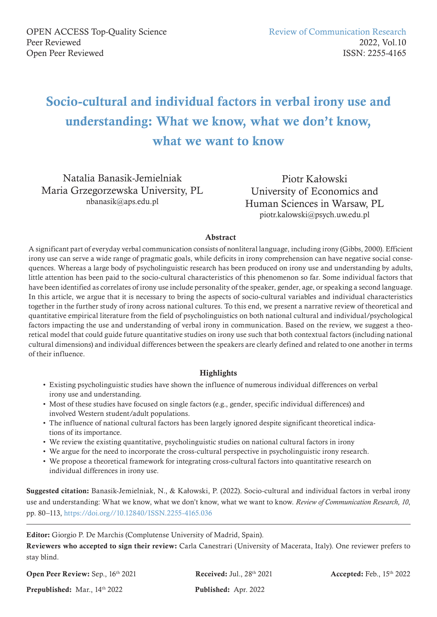# Socio-cultural and individual factors in verbal irony use and understanding: What we know, what we don't know, what we want to know

Natalia Banasik-Jemielniak Maria Grzegorzewska University, PL nbanasik@aps.edu.pl

Piotr Kałowski University of Economics and Human Sciences in Warsaw, PL piotr.kalowski@psych.uw.edu.pl

#### Abstract

A significant part of everyday verbal communication consists of nonliteral language, including irony (Gibbs, 2000). Efficient irony use can serve a wide range of pragmatic goals, while deficits in irony comprehension can have negative social consequences. Whereas a large body of psycholinguistic research has been produced on irony use and understanding by adults, little attention has been paid to the socio-cultural characteristics of this phenomenon so far. Some individual factors that have been identified as correlates of irony use include personality of the speaker, gender, age, or speaking a second language. In this article, we argue that it is necessary to bring the aspects of socio-cultural variables and individual characteristics together in the further study of irony across national cultures. To this end, we present a narrative review of theoretical and quantitative empirical literature from the field of psycholinguistics on both national cultural and individual/psychological factors impacting the use and understanding of verbal irony in communication. Based on the review, we suggest a theoretical model that could guide future quantitative studies on irony use such that both contextual factors (including national cultural dimensions) and individual differences between the speakers are clearly defined and related to one another in terms of their influence.

#### **Highlights**

- Existing psycholinguistic studies have shown the influence of numerous individual differences on verbal irony use and understanding.
- Most of these studies have focused on single factors (e.g., gender, specific individual differences) and involved Western student/adult populations.
- The influence of national cultural factors has been largely ignored despite significant theoretical indications of its importance.
- We review the existing quantitative, psycholinguistic studies on national cultural factors in irony
- We argue for the need to incorporate the cross-cultural perspective in psycholinguistic irony research.
- We propose a theoretical framework for integrating cross-cultural factors into quantitative research on individual differences in irony use.

Suggested citation: Banasik-Jemielniak, N., & Kałowski, P. (2022). Socio-cultural and individual factors in verbal irony use and understanding: What we know, what we don't know, what we want to know. *Review of Communication Research, 10*, pp. 80–113, https://doi.org//10.12840/ISSN.2255-4165.036

Editor: Giorgio P. De Marchis (Complutense University of Madrid, Spain).

Reviewers who accepted to sign their review: Carla Canestrari (University of Macerata, Italy). One reviewer prefers to stay blind.

Open Peer Review: Sep., 16th 2021

Received: Jul., 28th 2021

Accepted: Feb., 15th 2022

Prepublished: Mar., 14th 2022

Published: Apr. 2022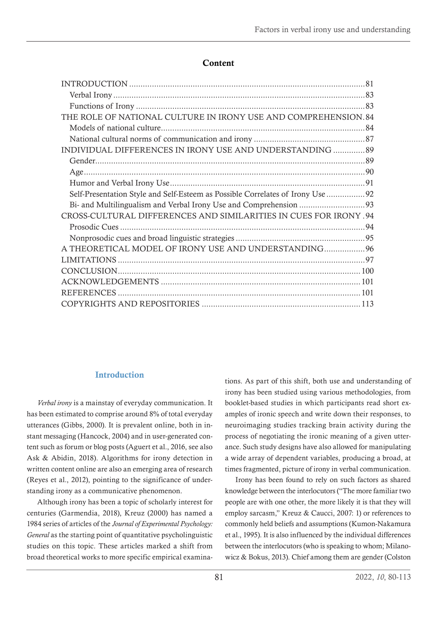#### Content

| THE ROLE OF NATIONAL CULTURE IN IRONY USE AND COMPREHENSION. 84                 |  |
|---------------------------------------------------------------------------------|--|
|                                                                                 |  |
|                                                                                 |  |
| INDIVIDUAL DIFFERENCES IN IRONY USE AND UNDERSTANDING  89                       |  |
|                                                                                 |  |
|                                                                                 |  |
|                                                                                 |  |
| Self-Presentation Style and Self-Esteem as Possible Correlates of Irony Use  92 |  |
|                                                                                 |  |
| 04. CROSS-CULTURAL DIFFERENCES AND SIMILARITIES IN CUES FOR IRONY               |  |
|                                                                                 |  |
|                                                                                 |  |
| A THEORETICAL MODEL OF IRONY USE AND UNDERSTANDING 96                           |  |
|                                                                                 |  |
|                                                                                 |  |
|                                                                                 |  |
|                                                                                 |  |
|                                                                                 |  |

## **Introduction**

*Verbal irony* is a mainstay of everyday communication. It has been estimated to comprise around 8% of total everyday utterances (Gibbs, 2000). It is prevalent online, both in instant messaging (Hancock, 2004) and in user-generated content such as forum or blog posts (Aguert et al., 2016, see also Ask & Abidin, 2018). Algorithms for irony detection in written content online are also an emerging area of research (Reyes et al., 2012), pointing to the significance of understanding irony as a communicative phenomenon.

Although irony has been a topic of scholarly interest for centuries (Garmendia, 2018), Kreuz (2000) has named a 1984 series of articles of the *Journal of Experimental Psychology: General* as the starting point of quantitative psycholinguistic studies on this topic. These articles marked a shift from broad theoretical works to more specific empirical examinations. As part of this shift, both use and understanding of irony has been studied using various methodologies, from booklet-based studies in which participants read short examples of ironic speech and write down their responses, to neuroimaging studies tracking brain activity during the process of negotiating the ironic meaning of a given utterance. Such study designs have also allowed for manipulating a wide array of dependent variables, producing a broad, at times fragmented, picture of irony in verbal communication.

Irony has been found to rely on such factors as shared knowledge between the interlocutors ("The more familiar two people are with one other, the more likely it is that they will employ sarcasm," Kreuz & Caucci, 2007: 1) or references to commonly held beliefs and assumptions (Kumon-Nakamura et al., 1995). It is also influenced by the individual differences between the interlocutors (who is speaking to whom; Milanowicz & Bokus, 2013). Chief among them are gender (Colston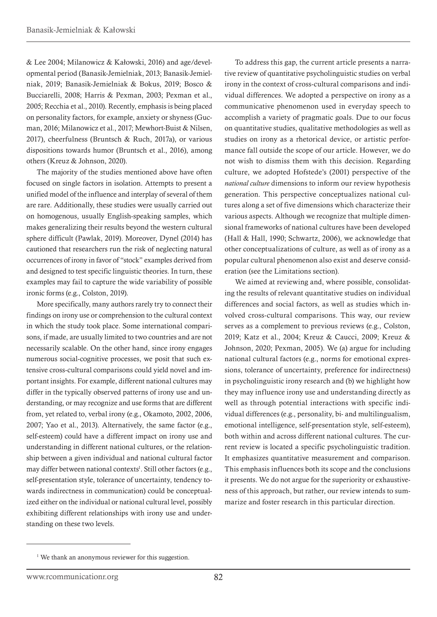& Lee 2004; Milanowicz & Kałowski, 2016) and age/developmental period (Banasik-Jemielniak, 2013; Banasik-Jemielniak, 2019; Banasik-Jemielniak & Bokus, 2019; Bosco & Bucciarelli, 2008; Harris & Pexman, 2003; Pexman et al., 2005; Recchia et al., 2010). Recently, emphasis is being placed on personality factors, for example, anxiety or shyness (Gucman, 2016; Milanowicz et al., 2017; Mewhort-Buist & Nilsen, 2017), cheerfulness (Bruntsch & Ruch, 2017a), or various dispositions towards humor (Bruntsch et al., 2016), among others (Kreuz & Johnson, 2020).

The majority of the studies mentioned above have often focused on single factors in isolation. Attempts to present a unified model of the influence and interplay of several of them are rare. Additionally, these studies were usually carried out on homogenous, usually English-speaking samples, which makes generalizing their results beyond the western cultural sphere difficult (Pawlak, 2019). Moreover, Dynel (2014) has cautioned that researchers run the risk of neglecting natural occurrences of irony in favor of "stock" examples derived from and designed to test specific linguistic theories. In turn, these examples may fail to capture the wide variability of possible ironic forms (e.g., Colston, 2019).

More specifically, many authors rarely try to connect their findings on irony use or comprehension to the cultural context in which the study took place. Some international comparisons, if made, are usually limited to two countries and are not necessarily scalable. On the other hand, since irony engages numerous social-cognitive processes, we posit that such extensive cross-cultural comparisons could yield novel and important insights. For example, different national cultures may differ in the typically observed patterns of irony use and understanding, or may recognize and use forms that are different from, yet related to, verbal irony (e.g., Okamoto, 2002, 2006, 2007; Yao et al., 2013). Alternatively, the same factor (e.g., self-esteem) could have a different impact on irony use and understanding in different national cultures, or the relationship between a given individual and national cultural factor may differ between national contexts<sup>1</sup>. Still other factors (e.g., self-presentation style, tolerance of uncertainty, tendency towards indirectness in communication) could be conceptualized either on the individual or national cultural level, possibly exhibiting different relationships with irony use and understanding on these two levels.

To address this gap, the current article presents a narrative review of quantitative psycholinguistic studies on verbal irony in the context of cross-cultural comparisons and individual differences. We adopted a perspective on irony as a communicative phenomenon used in everyday speech to accomplish a variety of pragmatic goals. Due to our focus on quantitative studies, qualitative methodologies as well as studies on irony as a rhetorical device, or artistic performance fall outside the scope of our article. However, we do not wish to dismiss them with this decision. Regarding culture, we adopted Hofstede's (2001) perspective of the *national culture* dimensions to inform our review hypothesis generation. This perspective conceptualizes national cultures along a set of five dimensions which characterize their various aspects. Although we recognize that multiple dimensional frameworks of national cultures have been developed (Hall & Hall, 1990; Schwartz, 2006), we acknowledge that other conceptualizations of culture, as well as of irony as a popular cultural phenomenon also exist and deserve consideration (see the Limitations section).

We aimed at reviewing and, where possible, consolidating the results of relevant quantitative studies on individual differences and social factors, as well as studies which involved cross-cultural comparisons. This way, our review serves as a complement to previous reviews (e.g., Colston, 2019; Katz et al., 2004; Kreuz & Caucci, 2009; Kreuz & Johnson, 2020; Pexman, 2005). We (a) argue for including national cultural factors (e.g., norms for emotional expressions, tolerance of uncertainty, preference for indirectness) in psycholinguistic irony research and (b) we highlight how they may influence irony use and understanding directly as well as through potential interactions with specific individual differences (e.g., personality, bi- and multilingualism, emotional intelligence, self-presentation style, self-esteem), both within and across different national cultures. The current review is located a specific psycholinguistic tradition. It emphasizes quantitative measurement and comparison. This emphasis influences both its scope and the conclusions it presents. We do not argue for the superiority or exhaustiveness of this approach, but rather, our review intends to summarize and foster research in this particular direction.

<sup>&</sup>lt;sup>1</sup> We thank an anonymous reviewer for this suggestion.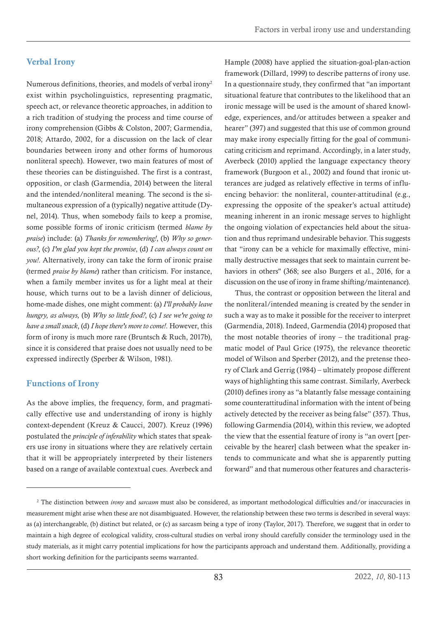# <span id="page-3-0"></span>Verbal Irony

Numerous definitions, theories, and models of verbal irony2 exist within psycholinguistics, representing pragmatic, speech act, or relevance theoretic approaches, in addition to a rich tradition of studying the process and time course of irony comprehension (Gibbs & Colston, 2007; Garmendia, 2018; Attardo, 2002, for a discussion on the lack of clear boundaries between irony and other forms of humorous nonliteral speech). However, two main features of most of these theories can be distinguished. The first is a contrast, opposition, or clash (Garmendia, 2014) between the literal and the intended/nonliteral meaning. The second is the simultaneous expression of a (typically) negative attitude (Dynel, 2014). Thus, when somebody fails to keep a promise, some possible forms of ironic criticism (termed *blame by praise*) include: (a) *Thanks for remembering!*, (b) *Why so generous?*, (c) *I'm glad you kept the promise*, (d) *I can always count on you!*. Alternatively, irony can take the form of ironic praise (termed *praise by blame*) rather than criticism. For instance, when a family member invites us for a light meal at their house, which turns out to be a lavish dinner of delicious, home-made dishes, one might comment: (a) *I'll probably leave hungry, as always,* (b) *Why so little food?*, (c) *I see we're going to have a small snack*, (d) *I hope there's more to come!*. However, this form of irony is much more rare (Bruntsch & Ruch, 2017b), since it is considered that praise does not usually need to be expressed indirectly (Sperber & Wilson, 1981).

# Functions of Irony

As the above implies, the frequency, form, and pragmatically effective use and understanding of irony is highly context-dependent (Kreuz & Caucci, 2007). Kreuz (1996) postulated the *principle of inferability* which states that speakers use irony in situations where they are relatively certain that it will be appropriately interpreted by their listeners based on a range of available contextual cues. Averbeck and Hample (2008) have applied the situation-goal-plan-action framework (Dillard, 1999) to describe patterns of irony use. In a questionnaire study, they confirmed that "an important situational feature that contributes to the likelihood that an ironic message will be used is the amount of shared knowledge, experiences, and/or attitudes between a speaker and hearer" (397) and suggested that this use of common ground may make irony especially fitting for the goal of communicating criticism and reprimand. Accordingly, in a later study, Averbeck (2010) applied the language expectancy theory framework (Burgoon et al., 2002) and found that ironic utterances are judged as relatively effective in terms of influencing behavior: the nonliteral, counter-attitudinal (e.g., expressing the opposite of the speaker's actual attitude) meaning inherent in an ironic message serves to highlight the ongoing violation of expectancies held about the situation and thus reprimand undesirable behavior. This suggests that "irony can be a vehicle for maximally effective, minimally destructive messages that seek to maintain current behaviors in others'' (368; see also Burgers et al., 2016, for a discussion on the use of irony in frame shifting/maintenance).

Thus, the contrast or opposition between the literal and the nonliteral/intended meaning is created by the sender in such a way as to make it possible for the receiver to interpret (Garmendia, 2018). Indeed, Garmendia (2014) proposed that the most notable theories of irony – the traditional pragmatic model of Paul Grice (1975), the relevance theoretic model of Wilson and Sperber (2012), and the pretense theory of Clark and Gerrig (1984) – ultimately propose different ways of highlighting this same contrast. Similarly, Averbeck (2010) defines irony as "a blatantly false message containing some counterattitudinal information with the intent of being actively detected by the receiver as being false" (357). Thus, following Garmendia (2014), within this review, we adopted the view that the essential feature of irony is "an overt [perceivable by the hearer] clash between what the speaker intends to communicate and what she is apparently putting forward" and that numerous other features and characteris-

<sup>2</sup> The distinction between *irony* and *sarcasm* must also be considered, as important methodological difficulties and/or inaccuracies in measurement might arise when these are not disambiguated. However, the relationship between these two terms is described in several ways: as (a) interchangeable, (b) distinct but related, or (c) as sarcasm being a type of irony (Taylor, 2017). Therefore, we suggest that in order to maintain a high degree of ecological validity, cross-cultural studies on verbal irony should carefully consider the terminology used in the study materials, as it might carry potential implications for how the participants approach and understand them. Additionally, providing a short working definition for the participants seems warranted.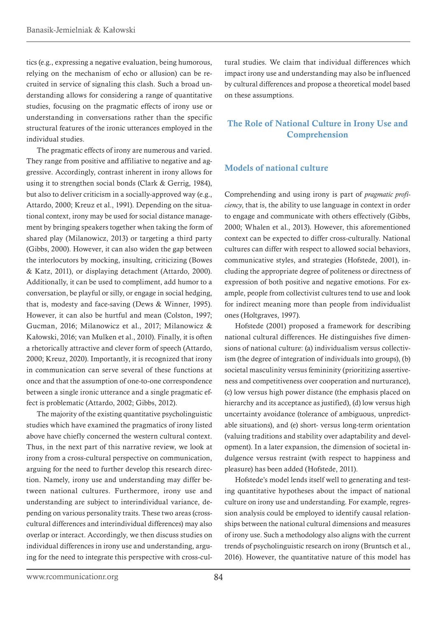<span id="page-4-0"></span>tics (e.g., expressing a negative evaluation, being humorous, relying on the mechanism of echo or allusion) can be recruited in service of signaling this clash. Such a broad understanding allows for considering a range of quantitative studies, focusing on the pragmatic effects of irony use or understanding in conversations rather than the specific structural features of the ironic utterances employed in the individual studies.

The pragmatic effects of irony are numerous and varied. They range from positive and affiliative to negative and aggressive. Accordingly, contrast inherent in irony allows for using it to strengthen social bonds (Clark & Gerrig, 1984), but also to deliver criticism in a socially-approved way (e.g., Attardo, 2000; Kreuz et al., 1991). Depending on the situational context, irony may be used for social distance management by bringing speakers together when taking the form of shared play (Milanowicz, 2013) or targeting a third party (Gibbs, 2000). However, it can also widen the gap between the interlocutors by mocking, insulting, criticizing (Bowes & Katz, 2011), or displaying detachment (Attardo, 2000). Additionally, it can be used to compliment, add humor to a conversation, be playful or silly, or engage in social hedging, that is, modesty and face-saving (Dews & Winner, 1995). However, it can also be hurtful and mean (Colston, 1997; Gucman, 2016; Milanowicz et al., 2017; Milanowicz & Kałowski, 2016; van Mulken et al., 2010). Finally, it is often a rhetorically attractive and clever form of speech (Attardo, 2000; Kreuz, 2020). Importantly, it is recognized that irony in communication can serve several of these functions at once and that the assumption of one-to-one correspondence between a single ironic utterance and a single pragmatic effect is problematic (Attardo, 2002; Gibbs, 2012).

The majority of the existing quantitative psycholinguistic studies which have examined the pragmatics of irony listed above have chiefly concerned the western cultural context. Thus, in the next part of this narrative review, we look at irony from a cross-cultural perspective on communication, arguing for the need to further develop this research direction. Namely, irony use and understanding may differ between national cultures. Furthermore, irony use and understanding are subject to interindividual variance, depending on various personality traits. These two areas (crosscultural differences and interindividual differences) may also overlap or interact. Accordingly, we then discuss studies on individual differences in irony use and understanding, arguing for the need to integrate this perspective with cross-cultural studies. We claim that individual differences which impact irony use and understanding may also be influenced by cultural differences and propose a theoretical model based on these assumptions.

## The Role of National Culture in Irony Use and Comprehension

#### Models of national culture

Comprehending and using irony is part of *pragmatic proficiency*, that is, the ability to use language in context in order to engage and communicate with others effectively (Gibbs, 2000; Whalen et al., 2013). However, this aforementioned context can be expected to differ cross-culturally. National cultures can differ with respect to allowed social behaviors, communicative styles, and strategies (Hofstede, 2001), including the appropriate degree of politeness or directness of expression of both positive and negative emotions. For example, people from collectivist cultures tend to use and look for indirect meaning more than people from individualist ones (Holtgraves, 1997).

Hofstede (2001) proposed a framework for describing national cultural differences. He distinguishes five dimensions of national culture: (a) individualism versus collectivism (the degree of integration of individuals into groups), (b) societal masculinity versus femininity (prioritizing assertiveness and competitiveness over cooperation and nurturance), (c) low versus high power distance (the emphasis placed on hierarchy and its acceptance as justified), (d) low versus high uncertainty avoidance (tolerance of ambiguous, unpredictable situations), and (e) short- versus long-term orientation (valuing traditions and stability over adaptability and development). In a later expansion, the dimension of societal indulgence versus restraint (with respect to happiness and pleasure) has been added (Hofstede, 2011).

Hofstede's model lends itself well to generating and testing quantitative hypotheses about the impact of national culture on irony use and understanding. For example, regression analysis could be employed to identify causal relationships between the national cultural dimensions and measures of irony use. Such a methodology also aligns with the current trends of psycholinguistic research on irony (Bruntsch et al., 2016). However, the quantitative nature of this model has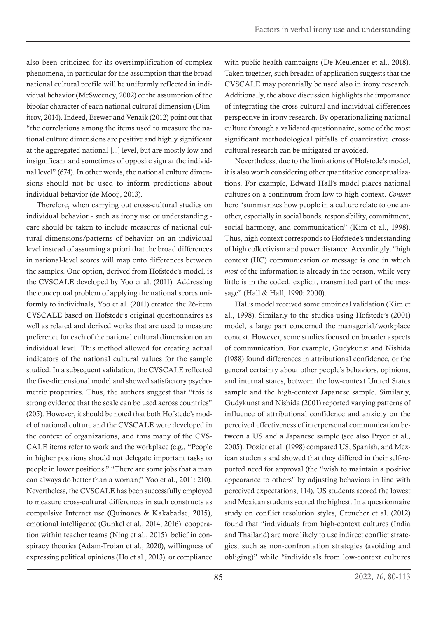also been criticized for its oversimplification of complex phenomena, in particular for the assumption that the broad national cultural profile will be uniformly reflected in individual behavior (McSweeney, 2002) or the assumption of the bipolar character of each national cultural dimension (Dimitrov, 2014). Indeed, Brewer and Venaik (2012) point out that "the correlations among the items used to measure the national culture dimensions are positive and highly significant at the aggregated national [...] level, but are mostly low and insignificant and sometimes of opposite sign at the individual level" (674). In other words, the national culture dimensions should not be used to inform predictions about individual behavior (de Mooij, 2013).

Therefore, when carrying out cross-cultural studies on individual behavior - such as irony use or understanding care should be taken to include measures of national cultural dimensions/patterns of behavior on an individual level instead of assuming a priori that the broad differences in national-level scores will map onto differences between the samples. One option, derived from Hofstede's model, is the CVSCALE developed by Yoo et al. (2011). Addressing the conceptual problem of applying the national scores uniformly to individuals, Yoo et al. (2011) created the 26-item CVSCALE based on Hofstede's original questionnaires as well as related and derived works that are used to measure preference for each of the national cultural dimension on an individual level. This method allowed for creating actual indicators of the national cultural values for the sample studied. In a subsequent validation, the CVSCALE reflected the five-dimensional model and showed satisfactory psychometric properties. Thus, the authors suggest that "this is strong evidence that the scale can be used across countries" (205). However, it should be noted that both Hofstede's model of national culture and the CVSCALE were developed in the context of organizations, and thus many of the CVS-CALE items refer to work and the workplace (e.g., "People in higher positions should not delegate important tasks to people in lower positions," "There are some jobs that a man can always do better than a woman;" Yoo et al., 2011: 210). Nevertheless, the CVSCALE has been successfully employed to measure cross-cultural differences in such constructs as compulsive Internet use (Quinones & Kakabadse, 2015), emotional intelligence (Gunkel et al., 2014; 2016), cooperation within teacher teams (Ning et al., 2015), belief in conspiracy theories (Adam-Troian et al., 2020), willingness of expressing political opinions (Ho et al., 2013), or compliance

with public health campaigns (De Meulenaer et al., 2018). Taken together, such breadth of application suggests that the CVSCALE may potentially be used also in irony research. Additionally, the above discussion highlights the importance of integrating the cross-cultural and individual differences perspective in irony research. By operationalizing national culture through a validated questionnaire, some of the most significant methodological pitfalls of quantitative crosscultural research can be mitigated or avoided.

Nevertheless, due to the limitations of Hofstede's model, it is also worth considering other quantitative conceptualizations. For example, Edward Hall's model places national cultures on a continuum from low to high context. *Context*  here "summarizes how people in a culture relate to one another, especially in social bonds, responsibility, commitment, social harmony, and communication" (Kim et al., 1998). Thus, high context corresponds to Hofstede's understanding of high collectivism and power distance. Accordingly, "high context (HC) communication or message is one in which *most* of the information is already in the person, while very little is in the coded, explicit, transmitted part of the message" (Hall & Hall, 1990: 2000).

Hall's model received some empirical validation (Kim et al., 1998). Similarly to the studies using Hofstede's (2001) model, a large part concerned the managerial/workplace context. However, some studies focused on broader aspects of communication. For example, Gudykunst and Nishida (1988) found differences in attributional confidence, or the general certainty about other people's behaviors, opinions, and internal states, between the low-context United States sample and the high-context Japanese sample. Similarly, Gudykunst and Nishida (2001) reported varying patterns of influence of attributional confidence and anxiety on the perceived effectiveness of interpersonal communication between a US and a Japanese sample (see also Pryor et al., 2005). Dozier et al. (1998) compared US, Spanish, and Mexican students and showed that they differed in their self-reported need for approval (the "wish to maintain a positive appearance to others" by adjusting behaviors in line with perceived expectations, 114). US students scored the lowest and Mexican students scored the highest. In a questionnaire study on conflict resolution styles, Croucher et al. (2012) found that "individuals from high-context cultures (India and Thailand) are more likely to use indirect conflict strategies, such as non-confrontation strategies (avoiding and obliging)" while "individuals from low-context cultures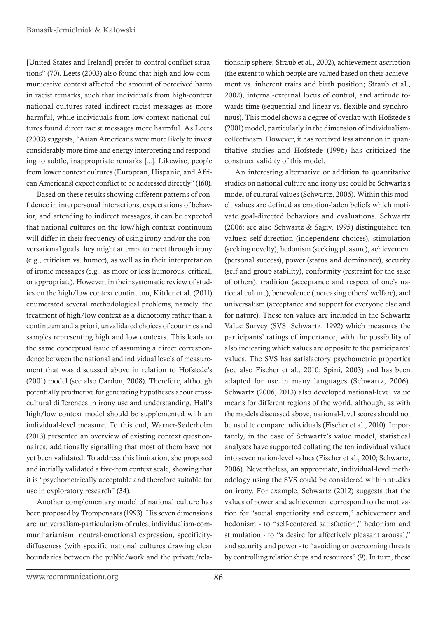[United States and Ireland] prefer to control conflict situations" (70). Leets (2003) also found that high and low communicative context affected the amount of perceived harm in racist remarks, such that individuals from high-context national cultures rated indirect racist messages as more harmful, while individuals from low-context national cultures found direct racist messages more harmful. As Leets (2003) suggests, "Asian Americans were more likely to invest considerably more time and energy interpreting and responding to subtle, inappropriate remarks [...]. Likewise, people from lower context cultures (European, Hispanic, and African Americans) expect conflict to be addressed directly" (160).

Based on these results showing different patterns of confidence in interpersonal interactions, expectations of behavior, and attending to indirect messages, it can be expected that national cultures on the low/high context continuum will differ in their frequency of using irony and/or the conversational goals they might attempt to meet through irony (e.g., criticism vs. humor), as well as in their interpretation of ironic messages (e.g., as more or less humorous, critical, or appropriate). However, in their systematic review of studies on the high/low context continuum, Kittler et al. (2011) enumerated several methodological problems, namely, the treatment of high/low context as a dichotomy rather than a continuum and a priori, unvalidated choices of countries and samples representing high and low contexts. This leads to the same conceptual issue of assuming a direct correspondence between the national and individual levels of measurement that was discussed above in relation to Hofstede's (2001) model (see also Cardon, 2008). Therefore, although potentially productive for generating hypotheses about crosscultural differences in irony use and understanding, Hall's high/low context model should be supplemented with an individual-level measure. To this end, Warner-Søderholm (2013) presented an overview of existing context questionnaires, additionally signalling that most of them have not yet been validated. To address this limitation, she proposed and initially validated a five-item context scale, showing that it is "psychometrically acceptable and therefore suitable for use in exploratory research" (34).

Another complementary model of national culture has been proposed by Trompenaars (1993). His seven dimensions are: universalism-particularism of rules, individualism-communitarianism, neutral-emotional expression, specificitydiffuseness (with specific national cultures drawing clear boundaries between the public/work and the private/relationship sphere; Straub et al., 2002), achievement-ascription (the extent to which people are valued based on their achievement vs. inherent traits and birth position; Straub et al., 2002), internal-external locus of control, and attitude towards time (sequential and linear vs. flexible and synchronous). This model shows a degree of overlap with Hofstede's (2001) model, particularly in the dimension of individualismcollectivism. However, it has received less attention in quantitative studies and Hofstede (1996) has criticized the construct validity of this model.

An interesting alternative or addition to quantitative studies on national culture and irony use could be Schwartz's model of cultural values (Schwartz, 2006). Within this model, values are defined as emotion-laden beliefs which motivate goal-directed behaviors and evaluations. Schwartz (2006; see also Schwartz & Sagiv, 1995) distinguished ten values: self-direction (independent choices), stimulation (seeking novelty), hedonism (seeking pleasure), achievement (personal success), power (status and dominance), security (self and group stability), conformity (restraint for the sake of others), tradition (acceptance and respect of one's national culture), benevolence (increasing others' welfare), and universalism (acceptance and support for everyone else and for nature). These ten values are included in the Schwartz Value Survey (SVS, Schwartz, 1992) which measures the participants' ratings of importance, with the possibility of also indicating which values are opposite to the participants' values. The SVS has satisfactory psychometric properties (see also Fischer et al., 2010; Spini, 2003) and has been adapted for use in many languages (Schwartz, 2006). Schwartz (2006, 2013) also developed national-level value means for different regions of the world, although, as with the models discussed above, national-level scores should not be used to compare individuals (Fischer et al., 2010). Importantly, in the case of Schwartz's value model, statistical analyses have supported collating the ten individual values into seven nation-level values (Fischer et al., 2010; Schwartz, 2006). Nevertheless, an appropriate, individual-level methodology using the SVS could be considered within studies on irony. For example, Schwartz (2012) suggests that the values of power and achievement correspond to the motivation for "social superiority and esteem," achievement and hedonism - to "self-centered satisfaction," hedonism and stimulation - to "a desire for affectively pleasant arousal," and security and power - to "avoiding or overcoming threats by controlling relationships and resources" (9). In turn, these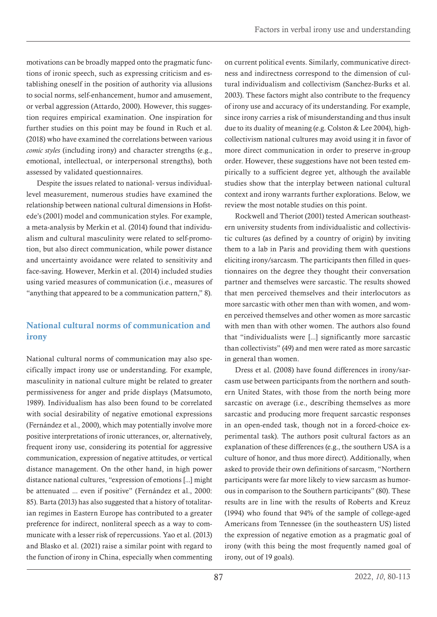<span id="page-7-0"></span>motivations can be broadly mapped onto the pragmatic functions of ironic speech, such as expressing criticism and establishing oneself in the position of authority via allusions to social norms, self-enhancement, humor and amusement, or verbal aggression (Attardo, 2000). However, this suggestion requires empirical examination. One inspiration for further studies on this point may be found in Ruch et al. (2018) who have examined the correlations between various *comic styles* (including irony) and character strengths (e.g., emotional, intellectual, or interpersonal strengths), both assessed by validated questionnaires.

Despite the issues related to national- versus individuallevel measurement, numerous studies have examined the relationship between national cultural dimensions in Hofstede's (2001) model and communication styles. For example, a meta-analysis by Merkin et al. (2014) found that individualism and cultural masculinity were related to self-promotion, but also direct communication, while power distance and uncertainty avoidance were related to sensitivity and face-saving. However, Merkin et al. (2014) included studies using varied measures of communication (i.e., measures of "anything that appeared to be a communication pattern," 8).

# National cultural norms of communication and irony

National cultural norms of communication may also specifically impact irony use or understanding. For example, masculinity in national culture might be related to greater permissiveness for anger and pride displays (Matsumoto, 1989). Individualism has also been found to be correlated with social desirability of negative emotional expressions (Fernández et al., 2000), which may potentially involve more positive interpretations of ironic utterances, or, alternatively, frequent irony use, considering its potential for aggressive communication, expression of negative attitudes, or vertical distance management. On the other hand, in high power distance national cultures, "expression of emotions [...] might be attenuated ... even if positive" (Fernández et al., 2000: 85). Barta (2013) has also suggested that a history of totalitarian regimes in Eastern Europe has contributed to a greater preference for indirect, nonliteral speech as a way to communicate with a lesser risk of repercussions. Yao et al. (2013) and Blasko et al. (2021) raise a similar point with regard to the function of irony in China, especially when commenting

on current political events. Similarly, communicative directness and indirectness correspond to the dimension of cultural individualism and collectivism (Sanchez-Burks et al. 2003). These factors might also contribute to the frequency of irony use and accuracy of its understanding. For example, since irony carries a risk of misunderstanding and thus insult due to its duality of meaning (e.g. Colston & Lee 2004), highcollectivism national cultures may avoid using it in favor of more direct communication in order to preserve in-group order. However, these suggestions have not been tested empirically to a sufficient degree yet, although the available studies show that the interplay between national cultural context and irony warrants further explorations. Below, we review the most notable studies on this point.

Rockwell and Theriot (2001) tested American southeastern university students from individualistic and collectivistic cultures (as defined by a country of origin) by inviting them to a lab in Paris and providing them with questions eliciting irony/sarcasm. The participants then filled in questionnaires on the degree they thought their conversation partner and themselves were sarcastic. The results showed that men perceived themselves and their interlocutors as more sarcastic with other men than with women, and women perceived themselves and other women as more sarcastic with men than with other women. The authors also found that "individualists were [...] significantly more sarcastic than collectivists" (49) and men were rated as more sarcastic in general than women.

Dress et al. (2008) have found differences in irony/sarcasm use between participants from the northern and southern United States, with those from the north being more sarcastic on average (i.e., describing themselves as more sarcastic and producing more frequent sarcastic responses in an open-ended task, though not in a forced-choice experimental task). The authors posit cultural factors as an explanation of these differences (e.g., the southern USA is a culture of honor, and thus more direct). Additionally, when asked to provide their own definitions of sarcasm, "Northern participants were far more likely to view sarcasm as humorous in comparison to the Southern participants" (80). These results are in line with the results of Roberts and Kreuz (1994) who found that 94% of the sample of college-aged Americans from Tennessee (in the southeastern US) listed the expression of negative emotion as a pragmatic goal of irony (with this being the most frequently named goal of irony, out of 19 goals).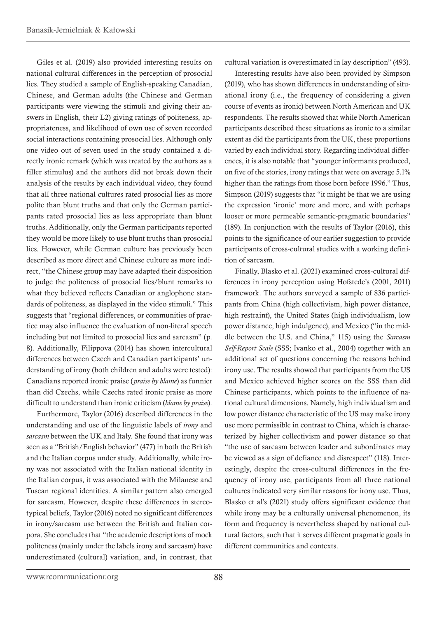Giles et al. (2019) also provided interesting results on national cultural differences in the perception of prosocial lies. They studied a sample of English-speaking Canadian, Chinese, and German adults (the Chinese and German participants were viewing the stimuli and giving their answers in English, their L2) giving ratings of politeness, appropriateness, and likelihood of own use of seven recorded social interactions containing prosocial lies. Although only one video out of seven used in the study contained a directly ironic remark (which was treated by the authors as a filler stimulus) and the authors did not break down their analysis of the results by each individual video, they found that all three national cultures rated prosocial lies as more polite than blunt truths and that only the German participants rated prosocial lies as less appropriate than blunt truths. Additionally, only the German participants reported they would be more likely to use blunt truths than prosocial lies. However, while German culture has previously been described as more direct and Chinese culture as more indirect, "the Chinese group may have adapted their disposition to judge the politeness of prosocial lies/blunt remarks to what they believed reflects Canadian or anglophone standards of politeness, as displayed in the video stimuli." This suggests that "regional differences, or communities of practice may also influence the evaluation of non-literal speech including but not limited to prosocial lies and sarcasm" (p. 8). Additionally, Filippova (2014) has shown intercultural differences between Czech and Canadian participants' understanding of irony (both children and adults were tested): Canadians reported ironic praise (*praise by blame*) as funnier than did Czechs, while Czechs rated ironic praise as more difficult to understand than ironic criticism (*blame by praise*).

Furthermore, Taylor (2016) described differences in the understanding and use of the linguistic labels of *irony* and *sarcasm* between the UK and Italy. She found that irony was seen as a "British/English behavior" (477) in both the British and the Italian corpus under study. Additionally, while irony was not associated with the Italian national identity in the Italian corpus, it was associated with the Milanese and Tuscan regional identities. A similar pattern also emerged for sarcasm. However, despite these differences in stereotypical beliefs, Taylor (2016) noted no significant differences in irony/sarcasm use between the British and Italian corpora. She concludes that "the academic descriptions of mock politeness (mainly under the labels irony and sarcasm) have underestimated (cultural) variation, and, in contrast, that cultural variation is overestimated in lay description" (493).

Interesting results have also been provided by Simpson (2019), who has shown differences in understanding of situational irony (i.e., the frequency of considering a given course of events as ironic) between North American and UK respondents. The results showed that while North American participants described these situations as ironic to a similar extent as did the participants from the UK, these proportions varied by each individual story. Regarding individual differences, it is also notable that "younger informants produced, on five of the stories, irony ratings that were on average 5.1% higher than the ratings from those born before 1996." Thus, Simpson (2019) suggests that "it might be that we are using the expression 'ironic' more and more, and with perhaps looser or more permeable semantic-pragmatic boundaries" (189). In conjunction with the results of Taylor (2016), this points to the significance of our earlier suggestion to provide participants of cross-cultural studies with a working definition of sarcasm.

Finally, Blasko et al. (2021) examined cross-cultural differences in irony perception using Hofstede's (2001, 2011) framework. The authors surveyed a sample of 836 participants from China (high collectivism, high power distance, high restraint), the United States (high individualism, low power distance, high indulgence), and Mexico ("in the middle between the U.S. and China," 115) using the *Sarcasm Self-Report Scale* (SSS; Ivanko et al., 2004) together with an additional set of questions concerning the reasons behind irony use. The results showed that participants from the US and Mexico achieved higher scores on the SSS than did Chinese participants, which points to the influence of national cultural dimensions. Namely, high individualism and low power distance characteristic of the US may make irony use more permissible in contrast to China, which is characterized by higher collectivism and power distance so that "the use of sarcasm between leader and subordinates may be viewed as a sign of defiance and disrespect" (118). Interestingly, despite the cross-cultural differences in the frequency of irony use, participants from all three national cultures indicated very similar reasons for irony use. Thus, Blasko et al's (2021) study offers significant evidence that while irony may be a culturally universal phenomenon, its form and frequency is nevertheless shaped by national cultural factors, such that it serves different pragmatic goals in different communities and contexts.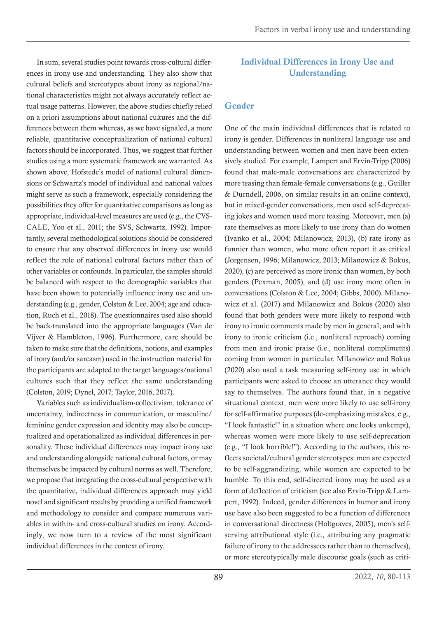<span id="page-9-0"></span>In sum, several studies point towards cross-cultural differences in irony use and understanding. They also show that cultural beliefs and stereotypes about irony as regional/national characteristics might not always accurately reflect actual usage patterns. However, the above studies chiefly relied on a priori assumptions about national cultures and the differences between them whereas, as we have signaled, a more reliable, quantitative conceptualization of national cultural factors should be incorporated. Thus, we suggest that further studies using a more systematic framework are warranted. As shown above, Hofstede's model of national cultural dimensions or Schwartz's model of individual and national values might serve as such a framework, especially considering the possibilities they offer for quantitative comparisons as long as appropriate, individual-level measures are used (e.g., the CVS-CALE, Yoo et al., 2011; the SVS, Schwartz, 1992). Importantly, several methodological solutions should be considered to ensure that any observed differences in irony use would reflect the role of national cultural factors rather than of other variables or confounds. In particular, the samples should be balanced with respect to the demographic variables that have been shown to potentially influence irony use and understanding (e.g., gender, Colston & Lee, 2004; age and education, Ruch et al., 2018). The questionnaires used also should be back-translated into the appropriate languages (Van de Vijver & Hambleton, 1996). Furthermore, care should be taken to make sure that the definitions, notions, and examples of irony (and/or sarcasm) used in the instruction material for the participants are adapted to the target languages/national cultures such that they reflect the same understanding (Colston, 2019; Dynel, 2017; Taylor, 2016, 2017).

Variables such as individualism-collectivism, tolerance of uncertainty, indirectness in communication, or masculine/ feminine gender expression and identity may also be conceptualized and operationalized as individual differences in personality. These individual differences may impact irony use and understanding alongside national cultural factors, or may themselves be impacted by cultural norms as well. Therefore, we propose that integrating the cross-cultural perspective with the quantitative, individual differences approach may yield novel and significant results by providing a unified framework and methodology to consider and compare numerous variables in within- and cross-cultural studies on irony. Accordingly, we now turn to a review of the most significant individual differences in the context of irony.

# Individual Differences in Irony Use and Understanding

## Gender

One of the main individual differences that is related to irony is gender. Differences in nonliteral language use and understanding between women and men have been extensively studied. For example, Lampert and Ervin-Tripp (2006) found that male-male conversations are characterized by more teasing than female-female conversations (e.g., Guiller & Durndell, 2006, on similar results in an online context), but in mixed-gender conversations, men used self-deprecating jokes and women used more teasing. Moreover, men (a) rate themselves as more likely to use irony than do women (Ivanko et al., 2004; Milanowicz, 2013), (b) rate irony as funnier than women, who more often report it as critical (Jorgensen, 1996; Milanowicz, 2013; Milanowicz & Bokus, 2020), (c) are perceived as more ironic than women, by both genders (Pexman, 2005), and (d) use irony more often in conversations (Colston & Lee, 2004; Gibbs, 2000). Milanowicz et al. (2017) and Milanowicz and Bokus (2020) also found that both genders were more likely to respond with irony to ironic comments made by men in general, and with irony to ironic criticism (i.e., nonliteral reproach) coming from men and ironic praise (i.e., nonliteral compliments) coming from women in particular. Milanowicz and Bokus (2020) also used a task measuring self-irony use in which participants were asked to choose an utterance they would say to themselves. The authors found that, in a negative situational context, men were more likely to use self-irony for self-affirmative purposes (de-emphasizing mistakes, e.g., "I look fantastic!" in a situation where one looks unkempt), whereas women were more likely to use self-deprecation (e.g., "I look horrible!"). According to the authors, this reflects societal/cultural gender stereotypes: men are expected to be self-aggrandizing, while women are expected to be humble. To this end, self-directed irony may be used as a form of deflection of criticism (see also Ervin-Tripp & Lampert, 1992). Indeed, gender differences in humor and irony use have also been suggested to be a function of differences in conversational directness (Holtgraves, 2005), men's selfserving attributional style (i.e., attributing any pragmatic failure of irony to the addressees rather than to themselves), or more stereotypically male discourse goals (such as criti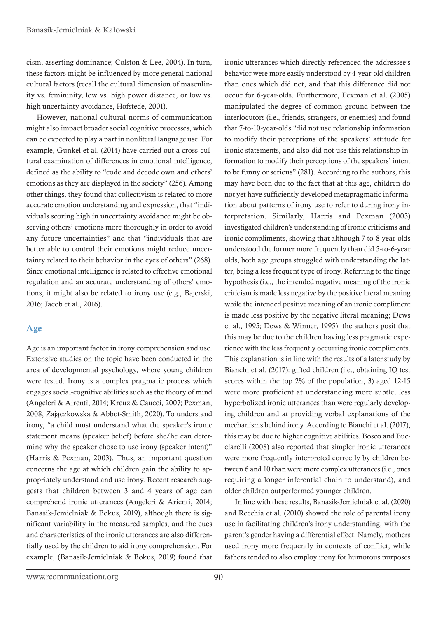<span id="page-10-0"></span>cism, asserting dominance; Colston & Lee, 2004). In turn, these factors might be influenced by more general national cultural factors (recall the cultural dimension of masculinity vs. femininity, low vs. high power distance, or low vs. high uncertainty avoidance, Hofstede, 2001).

However, national cultural norms of communication might also impact broader social cognitive processes, which can be expected to play a part in nonliteral language use. For example, Gunkel et al. (2014) have carried out a cross-cultural examination of differences in emotional intelligence, defined as the ability to "code and decode own and others' emotions as they are displayed in the society" (256). Among other things, they found that collectivism is related to more accurate emotion understanding and expression, that "individuals scoring high in uncertainty avoidance might be observing others' emotions more thoroughly in order to avoid any future uncertainties" and that "individuals that are better able to control their emotions might reduce uncertainty related to their behavior in the eyes of others" (268). Since emotional intelligence is related to effective emotional regulation and an accurate understanding of others' emotions, it might also be related to irony use (e.g., Bajerski, 2016; Jacob et al., 2016).

## Age

Age is an important factor in irony comprehension and use. Extensive studies on the topic have been conducted in the area of developmental psychology, where young children were tested. Irony is a complex pragmatic process which engages social-cognitive abilities such as the theory of mind (Angeleri & Airenti, 2014; Kreuz & Caucci, 2007; Pexman, 2008, Zajączkowska & Abbot-Smith, 2020). To understand irony, "a child must understand what the speaker's ironic statement means (speaker belief) before she/he can determine why the speaker chose to use irony (speaker intent)" (Harris & Pexman, 2003). Thus, an important question concerns the age at which children gain the ability to appropriately understand and use irony. Recent research suggests that children between 3 and 4 years of age can comprehend ironic utterances (Angeleri & Arienti, 2014; Banasik-Jemielniak & Bokus, 2019), although there is significant variability in the measured samples, and the cues and characteristics of the ironic utterances are also differentially used by the children to aid irony comprehension. For example, (Banasik-Jemielniak & Bokus, 2019) found that

ironic utterances which directly referenced the addressee's behavior were more easily understood by 4-year-old children than ones which did not, and that this difference did not occur for 6-year-olds. Furthermore, Pexman et al. (2005) manipulated the degree of common ground between the interlocutors (i.e., friends, strangers, or enemies) and found that 7-to-10-year-olds "did not use relationship information to modify their perceptions of the speakers' attitude for ironic statements, and also did not use this relationship information to modify their perceptions of the speakers' intent to be funny or serious" (281). According to the authors, this may have been due to the fact that at this age, children do not yet have sufficiently developed metapragmatic information about patterns of irony use to refer to during irony interpretation. Similarly, Harris and Pexman (2003) investigated children's understanding of ironic criticisms and ironic compliments, showing that although 7-to-8-year-olds understood the former more frequently than did 5-to-6-year olds, both age groups struggled with understanding the latter, being a less frequent type of irony. Referring to the tinge hypothesis (i.e., the intended negative meaning of the ironic criticism is made less negative by the positive literal meaning while the intended positive meaning of an ironic compliment is made less positive by the negative literal meaning; Dews et al., 1995; Dews & Winner, 1995), the authors posit that this may be due to the children having less pragmatic experience with the less frequently occurring ironic compliments. This explanation is in line with the results of a later study by Bianchi et al. (2017): gifted children (i.e., obtaining IQ test scores within the top 2% of the population, 3) aged 12-15 were more proficient at understanding more subtle, less hyperbolized ironic utterances than were regularly developing children and at providing verbal explanations of the mechanisms behind irony. According to Bianchi et al. (2017), this may be due to higher cognitive abilities. Bosco and Bucciarelli (2008) also reported that simpler ironic utterances were more frequently interpreted correctly by children between 6 and 10 than were more complex utterances (i.e., ones requiring a longer inferential chain to understand), and older children outperformed younger children.

In line with these results, Banasik-Jemielniak et al. (2020) and Recchia et al. (2010) showed the role of parental irony use in facilitating children's irony understanding, with the parent's gender having a differential effect. Namely, mothers used irony more frequently in contexts of conflict, while fathers tended to also employ irony for humorous purposes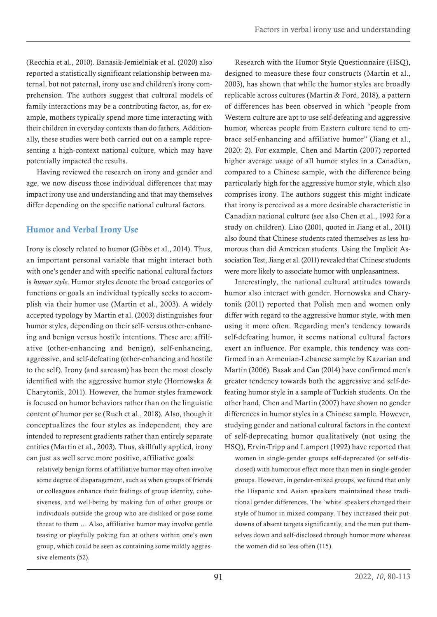<span id="page-11-0"></span>(Recchia et al., 2010). Banasik-Jemielniak et al. (2020) also reported a statistically significant relationship between maternal, but not paternal, irony use and children's irony comprehension. The authors suggest that cultural models of family interactions may be a contributing factor, as, for example, mothers typically spend more time interacting with their children in everyday contexts than do fathers. Additionally, these studies were both carried out on a sample representing a high-context national culture, which may have potentially impacted the results.

Having reviewed the research on irony and gender and age, we now discuss those individual differences that may impact irony use and understanding and that may themselves differ depending on the specific national cultural factors.

## Humor and Verbal Irony Use

Irony is closely related to humor (Gibbs et al., 2014). Thus, an important personal variable that might interact both with one's gender and with specific national cultural factors is *humor style*. Humor styles denote the broad categories of functions or goals an individual typically seeks to accomplish via their humor use (Martin et al., 2003). A widely accepted typology by Martin et al. (2003) distinguishes four humor styles, depending on their self- versus other-enhancing and benign versus hostile intentions. These are: affiliative (other-enhancing and benign), self-enhancing, aggressive, and self-defeating (other-enhancing and hostile to the self). Irony (and sarcasm) has been the most closely identified with the aggressive humor style (Hornowska & Charytonik, 2011). However, the humor styles framework is focused on humor behaviors rather than on the linguistic content of humor per se (Ruch et al., 2018). Also, though it conceptualizes the four styles as independent, they are intended to represent gradients rather than entirely separate entities (Martin et al., 2003). Thus, skillfully applied, irony can just as well serve more positive, affiliative goals:

relatively benign forms of affiliative humor may often involve some degree of disparagement, such as when groups of friends or colleagues enhance their feelings of group identity, cohesiveness, and well-being by making fun of other groups or individuals outside the group who are disliked or pose some threat to them … Also, affiliative humor may involve gentle teasing or playfully poking fun at others within one's own group, which could be seen as containing some mildly aggressive elements (52).

Research with the Humor Style Questionnaire (HSQ), designed to measure these four constructs (Martin et al., 2003), has shown that while the humor styles are broadly replicable across cultures (Martin & Ford, 2018), a pattern of differences has been observed in which "people from Western culture are apt to use self-defeating and aggressive humor, whereas people from Eastern culture tend to embrace self-enhancing and affiliative humor" (Jiang et al., 2020: 2). For example, Chen and Martin (2007) reported higher average usage of all humor styles in a Canadian, compared to a Chinese sample, with the difference being particularly high for the aggressive humor style, which also comprises irony. The authors suggest this might indicate that irony is perceived as a more desirable characteristic in Canadian national culture (see also Chen et al., 1992 for a study on children). Liao (2001, quoted in Jiang et al., 2011) also found that Chinese students rated themselves as less humorous than did American students. Using the Implicit Association Test, Jiang et al. (2011) revealed that Chinese students were more likely to associate humor with unpleasantness.

Interestingly, the national cultural attitudes towards humor also interact with gender. Hornowska and Charytonik (2011) reported that Polish men and women only differ with regard to the aggressive humor style, with men using it more often. Regarding men's tendency towards self-defeating humor, it seems national cultural factors exert an influence. For example, this tendency was confirmed in an Armenian-Lebanese sample by Kazarian and Martin (2006). Basak and Can (2014) have confirmed men's greater tendency towards both the aggressive and self-defeating humor style in a sample of Turkish students. On the other hand, Chen and Martin (2007) have shown no gender differences in humor styles in a Chinese sample. However, studying gender and national cultural factors in the context of self-deprecating humor qualitatively (not using the HSQ), Ervin-Tripp and Lampert (1992) have reported that

women in single-gender groups self-deprecated (or self-disclosed) with humorous effect more than men in single-gender groups. However, in gender-mixed groups, we found that only the Hispanic and Asian speakers maintained these traditional gender differences. The `white' speakers changed their style of humor in mixed company. They increased their putdowns of absent targets significantly, and the men put themselves down and self-disclosed through humor more whereas the women did so less often (115).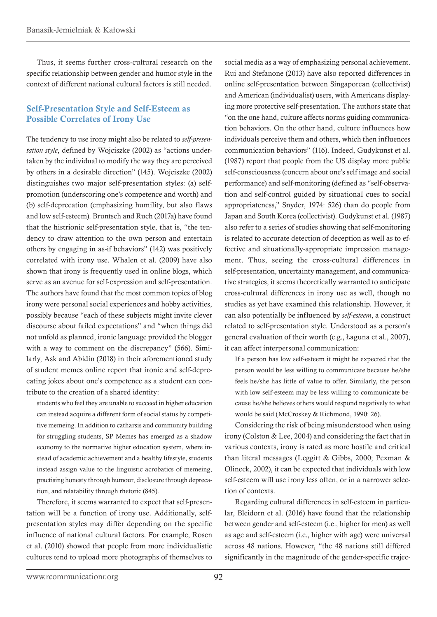<span id="page-12-0"></span>Thus, it seems further cross-cultural research on the specific relationship between gender and humor style in the context of different national cultural factors is still needed.

#### Self-Presentation Style and Self-Esteem as Possible Correlates of Irony Use

The tendency to use irony might also be related to *self-presentation style*, defined by Wojciszke (2002) as "actions undertaken by the individual to modify the way they are perceived by others in a desirable direction" (145). Wojciszke (2002) distinguishes two major self-presentation styles: (a) selfpromotion (underscoring one's competence and worth) and (b) self-deprecation (emphasizing humility, but also flaws and low self-esteem). Bruntsch and Ruch (2017a) have found that the histrionic self-presentation style, that is, "the tendency to draw attention to the own person and entertain others by engaging in as-if behaviors" (142) was positively correlated with irony use. Whalen et al. (2009) have also shown that irony is frequently used in online blogs, which serve as an avenue for self-expression and self-presentation. The authors have found that the most common topics of blog irony were personal social experiences and hobby activities, possibly because "each of these subjects might invite clever discourse about failed expectations" and "when things did not unfold as planned, ironic language provided the blogger with a way to comment on the discrepancy" (566). Similarly, Ask and Abidin (2018) in their aforementioned study of student memes online report that ironic and self-deprecating jokes about one's competence as a student can contribute to the creation of a shared identity:

students who feel they are unable to succeed in higher education can instead acquire a different form of social status by competitive memeing. In addition to catharsis and community building for struggling students, SP Memes has emerged as a shadow economy to the normative higher education system, where instead of academic achievement and a healthy lifestyle, students instead assign value to the linguistic acrobatics of memeing, practising honesty through humour, disclosure through deprecation, and relatability through rhetoric (845).

Therefore, it seems warranted to expect that self-presentation will be a function of irony use. Additionally, selfpresentation styles may differ depending on the specific influence of national cultural factors. For example, Rosen et al. (2010) showed that people from more individualistic cultures tend to upload more photographs of themselves to

social media as a way of emphasizing personal achievement. Rui and Stefanone (2013) have also reported differences in online self-presentation between Singaporean (collectivist) and American (individualist) users, with Americans displaying more protective self-presentation. The authors state that "on the one hand, culture affects norms guiding communication behaviors. On the other hand, culture influences how individuals perceive them and others, which then influences communication behaviors" (116). Indeed, Gudykunst et al. (1987) report that people from the US display more public self-consciousness (concern about one's self image and social performance) and self-monitoring (defined as "self-observation and self-control guided by situational cues to social appropriateness," Snyder, 1974: 526) than do people from Japan and South Korea (collectivist). Gudykunst et al. (1987) also refer to a series of studies showing that self-monitoring is related to accurate detection of deception as well as to effective and situationally-appropriate impression management. Thus, seeing the cross-cultural differences in self-presentation, uncertainty management, and communicative strategies, it seems theoretically warranted to anticipate cross-cultural differences in irony use as well, though no studies as yet have examined this relationship. However, it can also potentially be influenced by *self-esteem*, a construct related to self-presentation style. Understood as a person's general evaluation of their worth (e.g., Łaguna et al., 2007), it can affect interpersonal communication:

If a person has low self-esteem it might be expected that the person would be less willing to communicate because he/she feels he/she has little of value to offer. Similarly, the person with low self-esteem may be less willing to communicate because he/she believes others would respond negatively to what would be said (McCroskey & Richmond, 1990: 26).

Considering the risk of being misunderstood when using irony (Colston & Lee, 2004) and considering the fact that in various contexts, irony is rated as more hostile and critical than literal messages (Leggitt & Gibbs, 2000; Pexman & Olineck, 2002), it can be expected that individuals with low self-esteem will use irony less often, or in a narrower selection of contexts.

Regarding cultural differences in self-esteem in particular, Bleidorn et al. (2016) have found that the relationship between gender and self-esteem (i.e., higher for men) as well as age and self-esteem (i.e., higher with age) were universal across 48 nations. However, "the 48 nations still differed significantly in the magnitude of the gender-specific trajec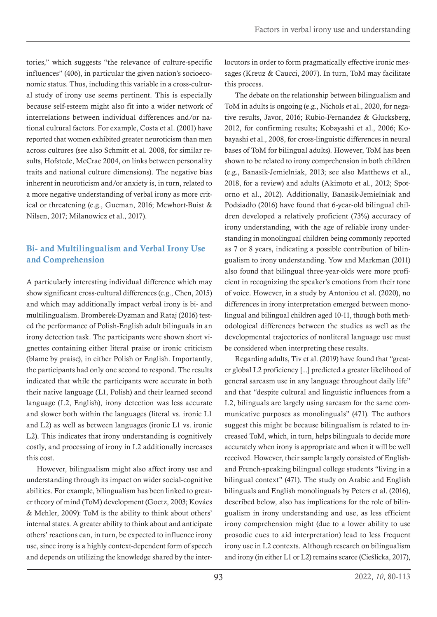<span id="page-13-0"></span>tories," which suggests "the relevance of culture-specific influences" (406), in particular the given nation's socioeconomic status. Thus, including this variable in a cross-cultural study of irony use seems pertinent. This is especially because self-esteem might also fit into a wider network of interrelations between individual differences and/or national cultural factors. For example, Costa et al. (2001) have reported that women exhibited greater neuroticism than men across cultures (see also Schmitt et al. 2008, for similar results, Hofstede, McCrae 2004, on links between personality traits and national culture dimensions). The negative bias inherent in neuroticism and/or anxiety is, in turn, related to a more negative understanding of verbal irony as more critical or threatening (e.g., Gucman, 2016; Mewhort-Buist & Nilsen, 2017; Milanowicz et al., 2017).

# Bi- and Multilingualism and Verbal Irony Use and Comprehension

A particularly interesting individual difference which may show significant cross-cultural differences (e.g., Chen, 2015) and which may additionally impact verbal irony is bi- and multilingualism. Bromberek-Dyzman and Rataj (2016) tested the performance of Polish-English adult bilinguals in an irony detection task. The participants were shown short vignettes containing either literal praise or ironic criticism (blame by praise), in either Polish or English. Importantly, the participants had only one second to respond. The results indicated that while the participants were accurate in both their native language (L1, Polish) and their learned second language (L2, English), irony detection was less accurate and slower both within the languages (literal vs. ironic L1 and L2) as well as between languages (ironic L1 vs. ironic L2). This indicates that irony understanding is cognitively costly, and processing of irony in L2 additionally increases this cost.

However, bilingualism might also affect irony use and understanding through its impact on wider social-cognitive abilities. For example, bilingualism has been linked to greater theory of mind (ToM) development (Goetz, 2003; Kovács & Mehler, 2009): ToM is the ability to think about others' internal states. A greater ability to think about and anticipate others' reactions can, in turn, be expected to influence irony use, since irony is a highly context-dependent form of speech and depends on utilizing the knowledge shared by the interlocutors in order to form pragmatically effective ironic messages (Kreuz & Caucci, 2007). In turn, ToM may facilitate this process.

The debate on the relationship between bilingualism and ToM in adults is ongoing (e.g., Nichols et al., 2020, for negative results, Javor, 2016; Rubio-Fernandez & Glucksberg, 2012, for confirming results; Kobayashi et al., 2006; Kobayashi et al., 2008, for cross-linguistic differences in neural bases of ToM for bilingual adults). However, ToM has been shown to be related to irony comprehension in both children (e.g., Banasik-Jemielniak, 2013; see also Matthews et al., 2018, for a review) and adults (Akimoto et al., 2012; Spotorno et al., 2012). Additionally, Banasik-Jemielniak and Podsiadło (2016) have found that 6-year-old bilingual children developed a relatively proficient (73%) accuracy of irony understanding, with the age of reliable irony understanding in monolingual children being commonly reported as 7 or 8 years, indicating a possible contribution of bilingualism to irony understanding. Yow and Markman (2011) also found that bilingual three-year-olds were more proficient in recognizing the speaker's emotions from their tone of voice. However, in a study by Antoniou et al. (2020), no differences in irony interpretation emerged between monolingual and bilingual children aged 10-11, though both methodological differences between the studies as well as the developmental trajectories of nonliteral language use must be considered when interpreting these results.

Regarding adults, Tiv et al. (2019) have found that "greater global L2 proficiency [...] predicted a greater likelihood of general sarcasm use in any language throughout daily life" and that "despite cultural and linguistic influences from a L2, bilinguals are largely using sarcasm for the same communicative purposes as monolinguals" (471). The authors suggest this might be because bilingualism is related to increased ToM, which, in turn, helps bilinguals to decide more accurately when irony is appropriate and when it will be well received. However, their sample largely consisted of Englishand French-speaking bilingual college students "living in a bilingual context" (471). The study on Arabic and English bilinguals and English monolinguals by Peters et al. (2016), described below, also has implications for the role of bilingualism in irony understanding and use, as less efficient irony comprehension might (due to a lower ability to use prosodic cues to aid interpretation) lead to less frequent irony use in L2 contexts. Although research on bilingualism and irony (in either L1 or L2) remains scarce (Cieślicka, 2017),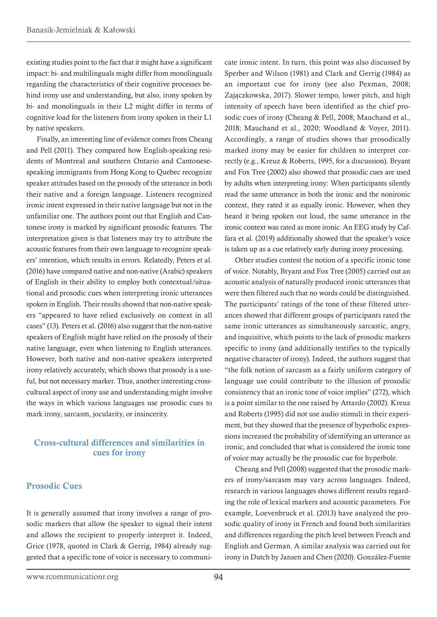<span id="page-14-0"></span>existing studies point to the fact that it might have a significant impact: bi- and multilinguals might differ from monolinguals regarding the characteristics of their cognitive processes behind irony use and understanding, but also, irony spoken by bi- and monolinguals in their L2 might differ in terms of cognitive load for the listeners from irony spoken in their L1 by native speakers.

Finally, an interesting line of evidence comes from Cheang and Pell (2011). They compared how English-speaking residents of Montreal and southern Ontario and Cantonesespeaking immigrants from Hong Kong to Quebec recognize speaker attitudes based on the prosody of the utterance in both their native and a foreign language. Listeners recognized ironic intent expressed in their native language but not in the unfamiliar one. The authors point out that English and Cantonese irony is marked by significant prosodic features. The interpretation given is that listeners may try to attribute the acoustic features from their own language to recognize speakers' intention, which results in errors. Relatedly, Peters et al. (2016) have compared native and non-native (Arabic) speakers of English in their ability to employ both contextual/situational and prosodic cues when interpreting ironic utterances spoken in English. Their results showed that non-native speakers "appeared to have relied exclusively on context in all cases" (13). Peters et al. (2016) also suggest that the non-native speakers of English might have relied on the prosody of their native language, even when listening to English utterances. However, both native and non-native speakers interpreted irony relatively accurately, which shows that prosody is a useful, but not necessary marker. Thus, another interesting crosscultural aspect of irony use and understanding might involve the ways in which various languages use prosodic cues to mark irony, sarcasm, jocularity, or insincerity.

#### Cross-cultural differences and similarities in cues for irony

#### Prosodic Cues

It is generally assumed that irony involves a range of prosodic markers that allow the speaker to signal their intent and allows the recipient to properly interpret it. Indeed, Grice (1978, quoted in Clark & Gerrig, 1984) already suggested that a specific tone of voice is necessary to communicate ironic intent. In turn, this point was also discussed by Sperber and Wilson (1981) and Clark and Gerrig (1984) as an important cue for irony (see also Pexman, 2008; Zajączkowska, 2017). Slower tempo, lower pitch, and high intensity of speech have been identified as the chief prosodic cues of irony (Cheang & Pell, 2008; Mauchand et al., 2018; Mauchand et al., 2020; Woodland & Voyer, 2011). Accordingly, a range of studies shows that prosodically marked irony may be easier for children to interpret correctly (e.g., Kreuz & Roberts, 1995, for a discussion). Bryant and Fox Tree (2002) also showed that prosodic cues are used by adults when interpreting irony: When participants silently read the same utterance in both the ironic and the nonironic context, they rated it as equally ironic. However, when they heard it being spoken out loud, the same utterance in the ironic context was rated as more ironic. An EEG study by Caffara et al. (2019) additionally showed that the speaker's voice is taken up as a cue relatively early during irony processing.

Other studies contest the notion of a specific ironic tone of voice. Notably, Bryant and Fox Tree (2005) carried out an acoustic analysis of naturally produced ironic utterances that were then filtered such that no words could be distinguished. The participants' ratings of the tone of these filtered utterances showed that different groups of participants rated the same ironic utterances as simultaneously sarcastic, angry, and inquisitive, which points to the lack of prosodic markers specific to irony (and additionally testifies to the typically negative character of irony). Indeed, the authors suggest that "the folk notion of sarcasm as a fairly uniform category of language use could contribute to the illusion of prosodic consistency that an ironic tone of voice implies" (272), which is a point similar to the one raised by Attardo (2002). Kreuz and Roberts (1995) did not use audio stimuli in their experiment, but they showed that the presence of hyperbolic expressions increased the probability of identifying an utterance as ironic, and concluded that what is considered the ironic tone of voice may actually be the prosodic cue for hyperbole.

Cheang and Pell (2008) suggested that the prosodic markers of irony/sarcasm may vary across languages. Indeed, research in various languages shows different results regarding the role of lexical markers and acoustic parameters. For example, Loevenbruck et al. (2013) have analyzed the prosodic quality of irony in French and found both similarities and differences regarding the pitch level between French and English and German. A similar analysis was carried out for irony in Dutch by Jansen and Chen (2020). González-Fuente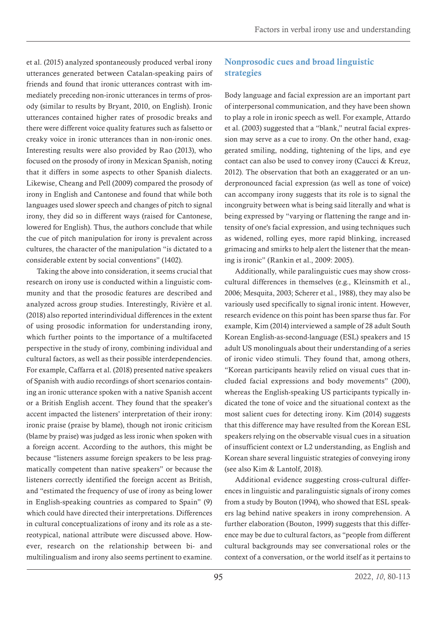<span id="page-15-0"></span>et al. (2015) analyzed spontaneously produced verbal irony utterances generated between Catalan-speaking pairs of friends and found that ironic utterances contrast with immediately preceding non-ironic utterances in terms of prosody (similar to results by Bryant, 2010, on English). Ironic utterances contained higher rates of prosodic breaks and there were different voice quality features such as falsetto or creaky voice in ironic utterances than in non-ironic ones. Interesting results were also provided by Rao (2013), who focused on the prosody of irony in Mexican Spanish, noting that it differs in some aspects to other Spanish dialects. Likewise, Cheang and Pell (2009) compared the prosody of irony in English and Cantonese and found that while both languages used slower speech and changes of pitch to signal irony, they did so in different ways (raised for Cantonese, lowered for English). Thus, the authors conclude that while the cue of pitch manipulation for irony is prevalent across cultures, the character of the manipulation "is dictated to a considerable extent by social conventions" (1402).

Taking the above into consideration, it seems crucial that research on irony use is conducted within a linguistic community and that the prosodic features are described and analyzed across group studies. Interestingly, Rivière et al. (2018) also reported interindividual differences in the extent of using prosodic information for understanding irony, which further points to the importance of a multifaceted perspective in the study of irony, combining individual and cultural factors, as well as their possible interdependencies. For example, Caffarra et al. (2018) presented native speakers of Spanish with audio recordings of short scenarios containing an ironic utterance spoken with a native Spanish accent or a British English accent. They found that the speaker's accent impacted the listeners' interpretation of their irony: ironic praise (praise by blame), though not ironic criticism (blame by praise) was judged as less ironic when spoken with a foreign accent. According to the authors, this might be because "listeners assume foreign speakers to be less pragmatically competent than native speakers" or because the listeners correctly identified the foreign accent as British, and "estimated the frequency of use of irony as being lower in English-speaking countries as compared to Spain" (9) which could have directed their interpretations. Differences in cultural conceptualizations of irony and its role as a stereotypical, national attribute were discussed above. However, research on the relationship between bi- and multilingualism and irony also seems pertinent to examine.

# Nonprosodic cues and broad linguistic strategies

Body language and facial expression are an important part of interpersonal communication, and they have been shown to play a role in ironic speech as well. For example, Attardo et al. (2003) suggested that a "blank," neutral facial expression may serve as a cue to irony. On the other hand, exaggerated smiling, nodding, tightening of the lips, and eye contact can also be used to convey irony (Caucci & Kreuz, 2012). The observation that both an exaggerated or an underpronounced facial expression (as well as tone of voice) can accompany irony suggests that its role is to signal the incongruity between what is being said literally and what is being expressed by "varying or flattening the range and intensity of one's facial expression, and using techniques such as widened, rolling eyes, more rapid blinking, increased grimacing and smirks to help alert the listener that the meaning is ironic" (Rankin et al., 2009: 2005).

Additionally, while paralinguistic cues may show crosscultural differences in themselves (e.g., Kleinsmith et al., 2006; Mesquita, 2003; Scherer et al., 1988), they may also be variously used specifically to signal ironic intent. However, research evidence on this point has been sparse thus far. For example, Kim (2014) interviewed a sample of 28 adult South Korean English-as-second-language (ESL) speakers and 15 adult US monolinguals about their understanding of a series of ironic video stimuli. They found that, among others, "Korean participants heavily relied on visual cues that included facial expressions and body movements" (200), whereas the English-speaking US participants typically indicated the tone of voice and the situational context as the most salient cues for detecting irony. Kim (2014) suggests that this difference may have resulted from the Korean ESL speakers relying on the observable visual cues in a situation of insufficient context or L2 understanding, as English and Korean share several linguistic strategies of conveying irony (see also Kim & Lantolf, 2018).

Additional evidence suggesting cross-cultural differences in linguistic and paralinguistic signals of irony comes from a study by Bouton (1994), who showed that ESL speakers lag behind native speakers in irony comprehension. A further elaboration (Bouton, 1999) suggests that this difference may be due to cultural factors, as "people from different cultural backgrounds may see conversational roles or the context of a conversation, or the world itself as it pertains to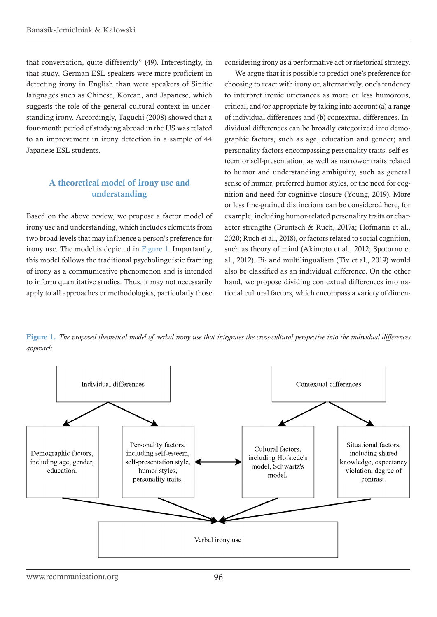<span id="page-16-0"></span>that conversation, quite differently" (49). Interestingly, in that study, German ESL speakers were more proficient in detecting irony in English than were speakers of Sinitic languages such as Chinese, Korean, and Japanese, which suggests the role of the general cultural context in understanding irony. Accordingly, Taguchi (2008) showed that a four-month period of studying abroad in the US was related to an improvement in irony detection in a sample of 44 Japanese ESL students.

#### A theoretical model of irony use and understanding

Based on the above review, we propose a factor model of irony use and understanding, which includes elements from two broad levels that may influence a person's preference for irony use. The model is depicted in [Figure 1](#page-16-1). Importantly, this model follows the traditional psycholinguistic framing of irony as a communicative phenomenon and is intended to inform quantitative studies. Thus, it may not necessarily apply to all approaches or methodologies, particularly those

considering irony as a performative act or rhetorical strategy.

We argue that it is possible to predict one's preference for choosing to react with irony or, alternatively, one's tendency to interpret ironic utterances as more or less humorous, critical, and/or appropriate by taking into account (a) a range of individual differences and (b) contextual differences. Individual differences can be broadly categorized into demographic factors, such as age, education and gender; and personality factors encompassing personality traits, self-esteem or self-presentation, as well as narrower traits related to humor and understanding ambiguity, such as general sense of humor, preferred humor styles, or the need for cognition and need for cognitive closure (Young, 2019). More or less fine-grained distinctions can be considered here, for example, including humor-related personality traits or character strengths (Bruntsch & Ruch, 2017a; Hofmann et al., 2020; Ruch et al., 2018), or factors related to social cognition, such as theory of mind (Akimoto et al., 2012; Spotorno et al., 2012). Bi- and multilingualism (Tiv et al., 2019) would also be classified as an individual difference. On the other hand, we propose dividing contextual differences into national cultural factors, which encompass a variety of dimen-

<span id="page-16-1"></span>Figure 1. *The proposed theoretical model of verbal irony use that integrates the cross-cultural perspective into the individual differences approach*

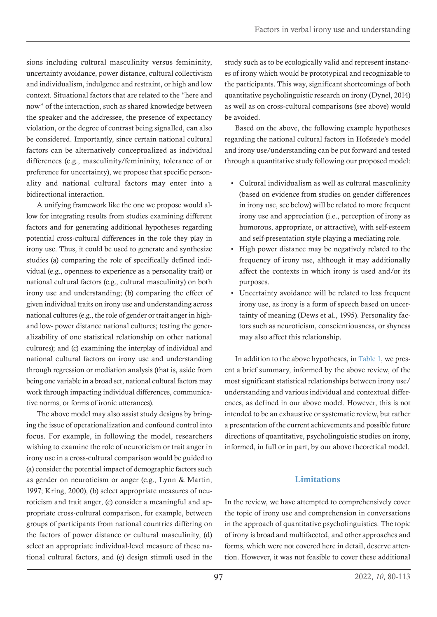<span id="page-17-0"></span>sions including cultural masculinity versus femininity, uncertainty avoidance, power distance, cultural collectivism and individualism, indulgence and restraint, or high and low context. Situational factors that are related to the "here and now" of the interaction, such as shared knowledge between the speaker and the addressee, the presence of expectancy violation, or the degree of contrast being signalled, can also be considered. Importantly, since certain national cultural factors can be alternatively conceptualized as individual differences (e.g., masculinity/femininity, tolerance of or preference for uncertainty), we propose that specific personality and national cultural factors may enter into a bidirectional interaction.

A unifying framework like the one we propose would allow for integrating results from studies examining different factors and for generating additional hypotheses regarding potential cross-cultural differences in the role they play in irony use. Thus, it could be used to generate and synthesize studies (a) comparing the role of specifically defined individual (e.g., openness to experience as a personality trait) or national cultural factors (e.g., cultural masculinity) on both irony use and understanding; (b) comparing the effect of given individual traits on irony use and understanding across national cultures (e.g., the role of gender or trait anger in highand low- power distance national cultures; testing the generalizability of one statistical relationship on other national cultures); and (c) examining the interplay of individual and national cultural factors on irony use and understanding through regression or mediation analysis (that is, aside from being one variable in a broad set, national cultural factors may work through impacting individual differences, communicative norms, or forms of ironic utterances).

The above model may also assist study designs by bringing the issue of operationalization and confound control into focus. For example, in following the model, researchers wishing to examine the role of neuroticism or trait anger in irony use in a cross-cultural comparison would be guided to (a) consider the potential impact of demographic factors such as gender on neuroticism or anger (e.g., Lynn & Martin, 1997; Kring, 2000), (b) select appropriate measures of neuroticism and trait anger, (c) consider a meaningful and appropriate cross-cultural comparison, for example, between groups of participants from national countries differing on the factors of power distance or cultural masculinity, (d) select an appropriate individual-level measure of these national cultural factors, and (e) design stimuli used in the

study such as to be ecologically valid and represent instances of irony which would be prototypical and recognizable to the participants. This way, significant shortcomings of both quantitative psycholinguistic research on irony (Dynel, 2014) as well as on cross-cultural comparisons (see above) would be avoided.

Based on the above, the following example hypotheses regarding the national cultural factors in Hofstede's model and irony use/understanding can be put forward and tested through a quantitative study following our proposed model:

- <span id="page-17-1"></span>• Cultural individualism as well as cultural masculinity (based on evidence from studies on gender differences in irony use, see below) will be related to more frequent irony use and appreciation (i.e., perception of irony as humorous, appropriate, or attractive), with self-esteem and self-presentation style playing a mediating role.
- High power distance may be negatively related to the frequency of irony use, although it may additionally affect the contexts in which irony is used and/or its purposes.
- Uncertainty avoidance will be related to less frequent irony use, as irony is a form of speech based on uncertainty of meaning (Dews et al., 1995). Personality factors such as neuroticism, conscientiousness, or shyness may also affect this relationship.

In addition to the above hypotheses, in [Table 1,](#page-32-0) we present a brief summary, informed by the above review, of the most significant statistical relationships between irony use/ understanding and various individual and contextual differences, as defined in our above model. However, this is not intended to be an exhaustive or systematic review, but rather a presentation of the current achievements and possible future directions of quantitative, psycholinguistic studies on irony, informed, in full or in part, by our above theoretical model.

# Limitations

In the review, we have attempted to comprehensively cover the topic of irony use and comprehension in conversations in the approach of quantitative psycholinguistics. The topic of irony is broad and multifaceted, and other approaches and forms, which were not covered here in detail, deserve attention. However, it was not feasible to cover these additional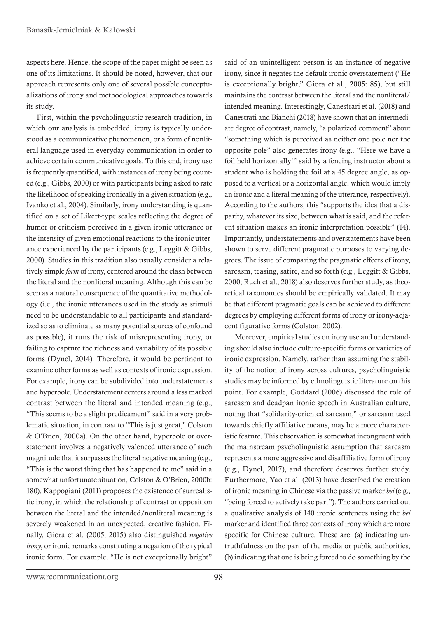aspects here. Hence, the scope of the paper might be seen as one of its limitations. It should be noted, however, that our approach represents only one of several possible conceptualizations of irony and methodological approaches towards its study.

First, within the psycholinguistic research tradition, in which our analysis is embedded, irony is typically understood as a communicative phenomenon, or a form of nonliteral language used in everyday communication in order to achieve certain communicative goals. To this end, irony use is frequently quantified, with instances of irony being counted (e.g., Gibbs, 2000) or with participants being asked to rate the likelihood of speaking ironically in a given situation (e.g., Ivanko et al., 2004). Similarly, irony understanding is quantified on a set of Likert-type scales reflecting the degree of humor or criticism perceived in a given ironic utterance or the intensity of given emotional reactions to the ironic utterance experienced by the participants (e.g., Leggitt & Gibbs, 2000). Studies in this tradition also usually consider a relatively simple *form* of irony, centered around the clash between the literal and the nonliteral meaning. Although this can be seen as a natural consequence of the quantitative methodology (i.e., the ironic utterances used in the study as stimuli need to be understandable to all participants and standardized so as to eliminate as many potential sources of confound as possible), it runs the risk of misrepresenting irony, or failing to capture the richness and variability of its possible forms (Dynel, 2014). Therefore, it would be pertinent to examine other forms as well as contexts of ironic expression. For example, irony can be subdivided into understatements and hyperbole. Understatement centers around a less marked contrast between the literal and intended meaning (e.g., "This seems to be a slight predicament" said in a very problematic situation, in contrast to "This is just great," Colston & O'Brien, 2000a). On the other hand, hyperbole or overstatement involves a negatively valenced utterance of such magnitude that it surpasses the literal negative meaning (e.g., "This is the worst thing that has happened to me" said in a somewhat unfortunate situation, Colston & O'Brien, 2000b: 180). Kappogiani (2011) proposes the existence of surrealistic irony, in which the relationship of contrast or opposition between the literal and the intended/nonliteral meaning is severely weakened in an unexpected, creative fashion. Finally, Giora et al. (2005, 2015) also distinguished *negative irony*, or ironic remarks constituting a negation of the typical ironic form. For example, "He is not exceptionally bright"

said of an unintelligent person is an instance of negative irony, since it negates the default ironic overstatement ("He is exceptionally bright," Giora et al., 2005: 85), but still maintains the contrast between the literal and the nonliteral/ intended meaning. Interestingly, Canestrari et al. (2018) and Canestrati and Bianchi (2018) have shown that an intermediate degree of contrast, namely, "a polarized comment" about "something which is perceived as neither one pole nor the opposite pole" also generates irony (e.g., "Here we have a foil held horizontally!" said by a fencing instructor about a student who is holding the foil at a 45 degree angle, as opposed to a vertical or a horizontal angle, which would imply an ironic and a literal meaning of the utterance, respectively). According to the authors, this "supports the idea that a disparity, whatever its size, between what is said, and the referent situation makes an ironic interpretation possible" (14). Importantly, understatements and overstatements have been shown to serve different pragmatic purposes to varying degrees. The issue of comparing the pragmatic effects of irony, sarcasm, teasing, satire, and so forth (e.g., Leggitt & Gibbs, 2000; Ruch et al., 2018) also deserves further study, as theoretical taxonomies should be empirically validated. It may be that different pragmatic goals can be achieved to different degrees by employing different forms of irony or irony-adjacent figurative forms (Colston, 2002).

Moreover, empirical studies on irony use and understanding should also include culture-specific forms or varieties of ironic expression. Namely, rather than assuming the stability of the notion of irony across cultures, psycholinguistic studies may be informed by ethnolinguistic literature on this point. For example, Goddard (2006) discussed the role of sarcasm and deadpan ironic speech in Australian culture, noting that "solidarity-oriented sarcasm," or sarcasm used towards chiefly affiliative means, may be a more characteristic feature. This observation is somewhat incongruent with the mainstream psycholinguistic assumption that sarcasm represents a more aggressive and disaffiliative form of irony (e.g., Dynel, 2017), and therefore deserves further study. Furthermore, Yao et al. (2013) have described the creation of ironic meaning in Chinese via the passive marker *bei* (e.g., "being forced to actively take part"). The authors carried out a qualitative analysis of 140 ironic sentences using the *bei*  marker and identified three contexts of irony which are more specific for Chinese culture. These are: (a) indicating untruthfulness on the part of the media or public authorities, (b) indicating that one is being forced to do something by the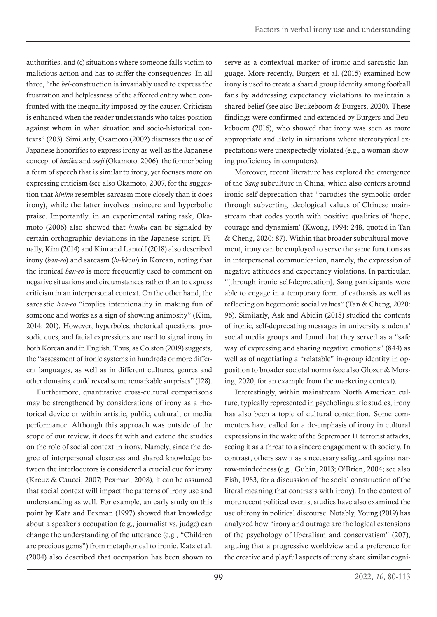authorities, and (c) situations where someone falls victim to malicious action and has to suffer the consequences. In all three, "the *bei*-construction is invariably used to express the frustration and helplessness of the affected entity when confronted with the inequality imposed by the causer. Criticism is enhanced when the reader understands who takes position against whom in what situation and socio-historical contexts" (203). Similarly, Okamoto (2002) discusses the use of Japanese honorifics to express irony as well as the Japanese concept of *hiniku* and *oseji* (Okamoto, 2006), the former being a form of speech that is similar to irony, yet focuses more on expressing criticism (see also Okamoto, 2007, for the suggestion that *hiniku* resembles sarcasm more closely than it does irony), while the latter involves insincere and hyperbolic praise. Importantly, in an experimental rating task, Okamoto (2006) also showed that *hiniku* can be signaled by certain orthographic deviations in the Japanese script. Finally, Kim (2014) and Kim and Lantolf (2018) also described irony (*ban-eo*) and sarcasm (*bi-kkom*) in Korean, noting that the ironical *ban-eo* is more frequently used to comment on negative situations and circumstances rather than to express criticism in an interpersonal context. On the other hand, the sarcastic *ban-eo* "implies intentionality in making fun of someone and works as a sign of showing animosity" (Kim, 2014: 201). However, hyperboles, rhetorical questions, prosodic cues, and facial expressions are used to signal irony in both Korean and in English. Thus, as Colston (2019) suggests, the "assessment of ironic systems in hundreds or more different languages, as well as in different cultures, genres and other domains, could reveal some remarkable surprises" (128).

Furthermore, quantitative cross-cultural comparisons may be strengthened by considerations of irony as a rhetorical device or within artistic, public, cultural, or media performance. Although this approach was outside of the scope of our review, it does fit with and extend the studies on the role of social context in irony. Namely, since the degree of interpersonal closeness and shared knowledge between the interlocutors is considered a crucial cue for irony (Kreuz & Caucci, 2007; Pexman, 2008), it can be assumed that social context will impact the patterns of irony use and understanding as well. For example, an early study on this point by Katz and Pexman (1997) showed that knowledge about a speaker's occupation (e.g., journalist vs. judge) can change the understanding of the utterance (e.g., "Children are precious gems") from metaphorical to ironic. Katz et al. (2004) also described that occupation has been shown to

serve as a contextual marker of ironic and sarcastic language. More recently, Burgers et al. (2015) examined how irony is used to create a shared group identity among football fans by addressing expectancy violations to maintain a shared belief (see also Beukeboom & Burgers, 2020). These findings were confirmed and extended by Burgers and Beukeboom (2016), who showed that irony was seen as more appropriate and likely in situations where stereotypical expectations were unexpectedly violated (e.g., a woman showing proficiency in computers).

Moreover, recent literature has explored the emergence of the *Sang* subculture in China, which also centers around ironic self-deprecation that "parodies the symbolic order through subverting ideological values of Chinese mainstream that codes youth with positive qualities of 'hope, courage and dynamism' (Kwong, 1994: 248, quoted in Tan & Cheng, 2020: 87). Within that broader subcultural movement, irony can be employed to serve the same functions as in interpersonal communication, namely, the expression of negative attitudes and expectancy violations. In particular, "[through ironic self-deprecation], Sang participants were able to engage in a temporary form of catharsis as well as reflecting on hegemonic social values" (Tan & Cheng, 2020: 96). Similarly, Ask and Abidin (2018) studied the contents of ironic, self-deprecating messages in university students' social media groups and found that they served as a "safe way of expressing and sharing negative emotions" (844) as well as of negotiating a "relatable" in-group identity in opposition to broader societal norms (see also Glozer & Morsing, 2020, for an example from the marketing context).

Interestingly, within mainstream North American culture, typically represented in psycholinguistic studies, irony has also been a topic of cultural contention. Some commenters have called for a de-emphasis of irony in cultural expressions in the wake of the September 11 terrorist attacks, seeing it as a threat to a sincere engagement with society. In contrast, others saw it as a necessary safeguard against narrow-mindedness (e.g., Guhin, 2013; O'Brien, 2004; see also Fish, 1983, for a discussion of the social construction of the literal meaning that contrasts with irony). In the context of more recent political events, studies have also examined the use of irony in political discourse. Notably, Young (2019) has analyzed how "irony and outrage are the logical extensions of the psychology of liberalism and conservatism" (207), arguing that a progressive worldview and a preference for the creative and playful aspects of irony share similar cogni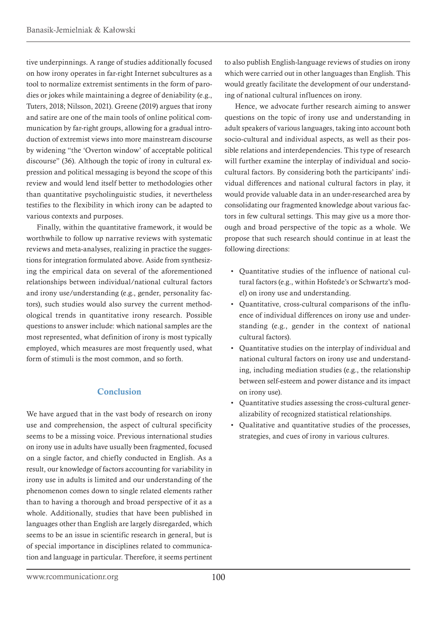<span id="page-20-0"></span>tive underpinnings. A range of studies additionally focused on how irony operates in far-right Internet subcultures as a tool to normalize extremist sentiments in the form of parodies or jokes while maintaining a degree of deniability (e.g., Tuters, 2018; Nilsson, 2021). Greene (2019) argues that irony and satire are one of the main tools of online political communication by far-right groups, allowing for a gradual introduction of extremist views into more mainstream discourse by widening "the 'Overton window' of acceptable political discourse" (36). Although the topic of irony in cultural expression and political messaging is beyond the scope of this review and would lend itself better to methodologies other than quantitative psycholinguistic studies, it nevertheless testifies to the flexibility in which irony can be adapted to various contexts and purposes.

Finally, within the quantitative framework, it would be worthwhile to follow up narrative reviews with systematic reviews and meta-analyses, realizing in practice the suggestions for integration formulated above. Aside from synthesizing the empirical data on several of the aforementioned relationships between individual/national cultural factors and irony use/understanding (e.g., gender, personality factors), such studies would also survey the current methodological trends in quantitative irony research. Possible questions to answer include: which national samples are the most represented, what definition of irony is most typically employed, which measures are most frequently used, what form of stimuli is the most common, and so forth.

## Conclusion

We have argued that in the vast body of research on irony use and comprehension, the aspect of cultural specificity seems to be a missing voice. Previous international studies on irony use in adults have usually been fragmented, focused on a single factor, and chiefly conducted in English. As a result, our knowledge of factors accounting for variability in irony use in adults is limited and our understanding of the phenomenon comes down to single related elements rather than to having a thorough and broad perspective of it as a whole. Additionally, studies that have been published in languages other than English are largely disregarded, which seems to be an issue in scientific research in general, but is of special importance in disciplines related to communication and language in particular. Therefore, it seems pertinent

to also publish English-language reviews of studies on irony which were carried out in other languages than English. This would greatly facilitate the development of our understanding of national cultural influences on irony.

Hence, we advocate further research aiming to answer questions on the topic of irony use and understanding in adult speakers of various languages, taking into account both socio-cultural and individual aspects, as well as their possible relations and interdependencies. This type of research will further examine the interplay of individual and sociocultural factors. By considering both the participants' individual differences and national cultural factors in play, it would provide valuable data in an under-researched area by consolidating our fragmented knowledge about various factors in few cultural settings. This may give us a more thorough and broad perspective of the topic as a whole. We propose that such research should continue in at least the following directions:

- Quantitative studies of the influence of national cultural factors (e.g., within Hofstede's or Schwartz's model) on irony use and understanding.
- Quantitative, cross-cultural comparisons of the influence of individual differences on irony use and understanding (e.g., gender in the context of national cultural factors).
- Quantitative studies on the interplay of individual and national cultural factors on irony use and understanding, including mediation studies (e.g., the relationship between self-esteem and power distance and its impact on irony use).
- Quantitative studies assessing the cross-cultural generalizability of recognized statistical relationships.
- Qualitative and quantitative studies of the processes, strategies, and cues of irony in various cultures.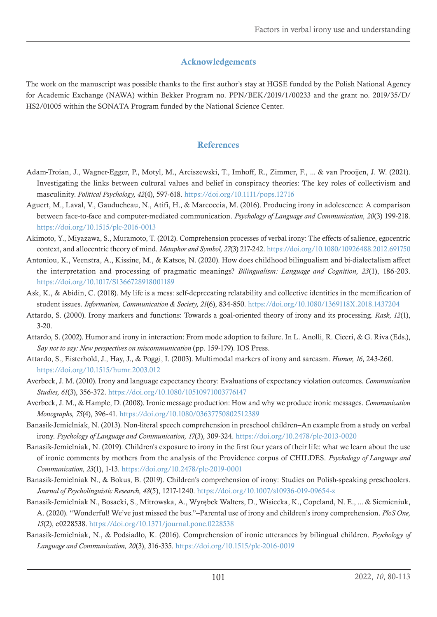## Acknowledgements

<span id="page-21-0"></span>The work on the manuscript was possible thanks to the first author's stay at HGSE funded by the Polish National Agency for Academic Exchange (NAWA) within Bekker Program no. PPN/BEK/2019/1/00233 and the grant no. 2019/35/D/ HS2/01005 within the SONATA Program funded by the National Science Center.

## References

- Adam‐Troian, J., Wagner‐Egger, P., Motyl, M., Arciszewski, T., Imhoff, R., Zimmer, F., ... & van Prooijen, J. W. (2021). Investigating the links between cultural values and belief in conspiracy theories: The key roles of collectivism and masculinity. *Political Psychology, 42*(4), 597-618.<https://doi.org/10.1111/pops.12716>
- Aguert, M., Laval, V., Gauducheau, N., Atifi, H., & Marcoccia, M. (2016). Producing irony in adolescence: A comparison between face-to-face and computer-mediated communication. *Psychology of Language and Communication, 20*(3) 199-218. <https://doi.org/10.1515/plc-2016-0013>
- Akimoto, Y., Miyazawa, S., Muramoto, T. (2012). Comprehension processes of verbal irony: The effects of salience, egocentric context, and allocentric theory of mind. *Metaphor and Symbol, 27*(3) 217-242.<https://doi.org/10.1080/10926488.2012.691750>
- Antoniou, K., Veenstra, A., Kissine, M., & Katsos, N. (2020). How does childhood bilingualism and bi-dialectalism affect the interpretation and processing of pragmatic meanings? *Bilingualism: Language and Cognition, 23*(1), 186-203. <https://doi.org/10.1017/S1366728918001189>
- Ask, K., & Abidin, C. (2018). My life is a mess: self-deprecating relatability and collective identities in the memification of student issues. *Information, Communication & Society, 21*(6), 834-850.<https://doi.org/10.1080/1369118X.2018.1437204>
- Attardo, S. (2000). Irony markers and functions: Towards a goal-oriented theory of irony and its processing. *Rask, 12*(1), 3-20.
- Attardo, S. (2002). Humor and irony in interaction: From mode adoption to failure. In L. Anolli, R. Ciceri, & G. Riva (Eds.), *Say not to say: New perspectives on miscommunication* (pp. 159-179). IOS Press.
- Attardo, S., Eisterhold, J., Hay, J., & Poggi, I. (2003). Multimodal markers of irony and sarcasm. *Humor, 16*, 243-260. <https://doi.org/10.1515/humr.2003.012>
- Averbeck, J. M. (2010). Irony and language expectancy theory: Evaluations of expectancy violation outcomes. *Communication Studies, 61*(3), 356-372. <https://doi.org/10.1080/10510971003776147>
- Averbeck, J. M., & Hample, D. (2008). Ironic message production: How and why we produce ironic messages. *Communication Monographs, 75*(4), 396-41. <https://doi.org/10.1080/03637750802512389>
- Banasik-Jemielniak, N. (2013). Non-literal speech comprehension in preschool children–An example from a study on verbal irony. *Psychology of Language and Communication, 17*(3), 309-324.<https://doi.org/10.2478/plc-2013-0020>
- Banasik-Jemielniak, N. (2019). Children's exposure to irony in the first four years of their life: what we learn about the use of ironic comments by mothers from the analysis of the Providence corpus of CHILDES. *Psychology of Language and Communication, 23*(1), 1-13. <https://doi.org/10.2478/plc-2019-0001>
- Banasik-Jemielniak N., & Bokus, B. (2019). Children's comprehension of irony: Studies on Polish-speaking preschoolers. *Journal of Psycholinguistic Research, 48*(5), 1217-1240. <https://doi.org/10.1007/s10936-019-09654-x>
- Banasik-Jemielniak N., Bosacki, S., Mitrowska, A., Wyrębek Walters, D., Wisiecka, K., Copeland, N. E., ... & Siemieniuk, A. (2020). "Wonderful! We've just missed the bus."–Parental use of irony and children's irony comprehension. *PloS One, 15*(2), e0228538. <https://doi.org/10.1371/journal.pone.0228538>
- Banasik-Jemielniak, N., & Podsiadło, K. (2016). Comprehension of ironic utterances by bilingual children. *Psychology of Language and Communication, 20*(3), 316-335.<https://doi.org/10.1515/plc-2016-0019>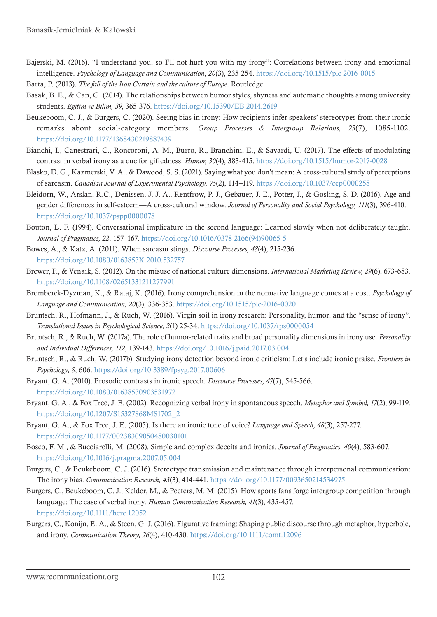Bajerski, M. (2016). "I understand you, so I'll not hurt you with my irony": Correlations between irony and emotional intelligence. *Psychology of Language and Communication, 20*(3), 235-254.<https://doi.org/10.1515/plc-2016-0015>

Barta, P. (2013). *The fall of the Iron Curtain and the culture of Europe*. Routledge.

- Basak, B. E., & Can, G. (2014). The relationships between humor styles, shyness and automatic thoughts among university students. *Egitim ve Bilim, 39*, 365-376. [https://doi.org/](https://doi.org/10.15390/EB.2014.2619)10.15390/EB.2014.2619
- Beukeboom, C. J., & Burgers, C. (2020). Seeing bias in irony: How recipients infer speakers' stereotypes from their ironic remarks about social-category members. *Group Processes & Intergroup Relations, 23*(7), 1085-1102. <https://doi.org/10.1177/1368430219887439>
- Bianchi, I., Canestrari, C., Roncoroni, A. M., Burro, R., Branchini, E., & Savardi, U. (2017). The effects of modulating contrast in verbal irony as a cue for giftedness. *Humor, 30*(4), 383-415.<https://doi.org/10.1515/humor-2017-0028>
- Blasko, D. G., Kazmerski, V. A., & Dawood, S. S. (2021). Saying what you don't mean: A cross-cultural study of perceptions of sarcasm. *Canadian Journal of Experimental Psychology, 75*(2), 114–119.<https://doi.org/10.1037/cep0000258>
- Bleidorn, W., Arslan, R.C., Denissen, J. J. A., Rentfrow, P. J., Gebauer, J. E., Potter, J., & Gosling, S. D. (2016). Age and gender differences in self-esteem—A cross-cultural window. *Journal of Personality and Social Psychology, 111*(3), 396-410. <https://doi.org/10.1037/pspp0000078>
- Bouton, L. F. (1994). Conversational implicature in the second language: Learned slowly when not deliberately taught. *Journal of Pragmatics, 22*, 157–167. [https://doi.org/10.1016/0378-2166\(94\)90065-5](https://doi.org/10.1016/0378-2166(94)90065-5)
- Bowes, A., & Katz, A. (2011). When sarcasm stings. *Discourse Processes, 48*(4), 215-236. <https://doi.org/10.1080/0163853X.2010.532757>
- Brewer, P., & Venaik, S. (2012). On the misuse of national culture dimensions. *International Marketing Review, 29*(6), 673-683. <https://doi.org/10.1108/02651331211277991>
- Bromberek-Dyzman, K., & Rataj, K. (2016). Irony comprehension in the nonnative language comes at a cost. *Psychology of Language and Communication, 20*(3), 336-353.<https://doi.org/10.1515/plc-2016-0020>
- Bruntsch, R., Hofmann, J., & Ruch, W. (2016). Virgin soil in irony research: Personality, humor, and the "sense of irony". *Translational Issues in Psychological Science, 2*(1) 25-34. <https://doi.org/10.1037/tps0000054>
- Bruntsch, R., & Ruch, W. (2017a). The role of humor-related traits and broad personality dimensions in irony use. *Personality and Individual Differences, 112*, 139-143.<https://doi.org/10.1016/j.paid.2017.03.004>
- Bruntsch, R., & Ruch, W. (2017b). Studying irony detection beyond ironic criticism: Let's include ironic praise. *Frontiers in Psychology, 8*, 606.<https://doi.org/10.3389/fpsyg.2017.00606>
- Bryant, G. A. (2010). Prosodic contrasts in ironic speech. *Discourse Processes, 47*(7), 545-566. <https://doi.org/10.1080/01638530903531972>
- Bryant, G. A., & Fox Tree, J. E. (2002). Recognizing verbal irony in spontaneous speech. *Metaphor and Symbol, 17*(2), 99-119. [https://doi.org/10.1207/S15327868MS1702\\_2](https://doi.org/10.1207/S15327868MS1702_2)
- Bryant, G. A., & Fox Tree, J. E. (2005). Is there an ironic tone of voice? *Language and Speech, 48*(3), 257-277. <https://doi.org/10.1177/00238309050480030101>
- Bosco, F. M., & Bucciarelli, M. (2008). Simple and complex deceits and ironies. *Journal of Pragmatics, 40*(4), 583-607. <https://doi.org/10.1016/j.pragma.2007.05.004>
- Burgers, C., & Beukeboom, C. J. (2016). Stereotype transmission and maintenance through interpersonal communication: The irony bias. *Communication Research, 43*(3), 414-441. <https://doi.org/10.1177/0093650214534975>
- Burgers, C., Beukeboom, C. J., Kelder, M., & Peeters, M. M. (2015). How sports fans forge intergroup competition through language: The case of verbal irony. *Human Communication Research, 41*(3), 435-457. <https://doi.org/10.1111/hcre.12052>
- Burgers, C., Konijn, E. A., & Steen, G. J. (2016). Figurative framing: Shaping public discourse through metaphor, hyperbole, and irony. *Communication Theory, 26*(4), 410-430.<https://doi.org/10.1111/comt.12096>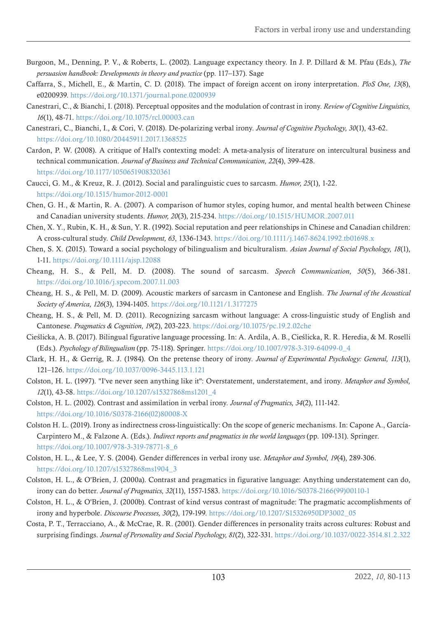- Burgoon, M., Denning, P. V., & Roberts, L. (2002). Language expectancy theory. In J. P. Dillard & M. Pfau (Eds.), *The persuasion handbook: Developments in theory and practice* (pp. 117–137). Sage
- Caffarra, S., Michell, E., & Martin, C. D. (2018). The impact of foreign accent on irony interpretation. *PloS One, 13*(8), e0200939.<https://doi.org/10.1371/journal.pone.0200939>
- Canestrari, C., & Bianchi, I. (2018). Perceptual opposites and the modulation of contrast in irony. *Review of Cognitive Linguistics, 16*(1), 48-71.<https://doi.org/10.1075/rcl.00003.can>
- Canestrari, C., Bianchi, I., & Cori, V. (2018). De-polarizing verbal irony. *Journal of Cognitive Psychology, 30*(1), 43-62. <https://doi.org/10.1080/20445911.2017.1368525>
- Cardon, P. W. (2008). A critique of Hall's contexting model: A meta-analysis of literature on intercultural business and technical communication. *Journal of Business and Technical Communication, 22*(4), 399-428. <https://doi.org/10.1177/1050651908320361>
- Caucci, G. M., & Kreuz, R. J. (2012). Social and paralinguistic cues to sarcasm. *Humor, 25*(1), 1-22. <https://doi.org/10.1515/humor-2012-0001>
- Chen, G. H., & Martin, R. A. (2007). A comparison of humor styles, coping humor, and mental health between Chinese and Canadian university students. *Humor, 20*(3), 215-234. <https://doi.org/10.1515/HUMOR.2007.011>
- Chen, X. Y., Rubin, K. H., & Sun, Y. R. (1992). Social reputation and peer relationships in Chinese and Canadian children: A cross-cultural study. *Child Development, 63*, 1336-1343.<https://doi.org/10.1111/j.1467-8624.1992.tb01698.x>
- Chen, S. X. (2015). Toward a social psychology of bilingualism and biculturalism. *Asian Journal of Social Psychology, 18*(1), 1-11. <https://doi.org/10.1111/ajsp.12088>
- Cheang, H. S., & Pell, M. D. (2008). The sound of sarcasm. *Speech Communication, 50*(5), 366-381. <https://doi.org/10.1016/j.specom.2007.11.003>
- Cheang, H. S., & Pell, M. D. (2009). Acoustic markers of sarcasm in Cantonese and English. *The Journal of the Acoustical Society of America, 126*(3), 1394-1405.<https://doi.org/10.1121/1.3177275>
- Cheang, H. S., & Pell, M. D. (2011). Recognizing sarcasm without language: A cross-linguistic study of English and Cantonese. *Pragmatics & Cognition, 19*(2), 203-223. <https://doi.org/10.1075/pc.19.2.02che>
- Cieślicka, A. B. (2017). Bilingual figurative language processing. In: A. Ardila, A. B., Cieślicka, R. R. Heredia, & M. Roselli (Eds.). *Psychology of Bilingualism* (pp. 75-118). Springer. [https://doi.org/10.1007/978-3-319-64099-0\\_4](https://doi.org/10.1007/978-3-319-64099-0_4)
- Clark, H. H., & Gerrig, R. J. (1984). On the pretense theory of irony. *Journal of Experimental Psychology: General, 113*(1), 121–126.<https://doi.org/10.1037/0096-3445.113.1.121>
- Colston, H. L. (1997). "I've never seen anything like it": Overstatement, understatement, and irony. *Metaphor and Symbol, 12*(1), 43-58. [https://doi.org/10.1207/s15327868ms1201\\_4](https://doi.org/10.1207/s15327868ms1201_4)
- Colston, H. L. (2002). Contrast and assimilation in verbal irony. *Journal of Pragmatics, 34*(2), 111-142. [https://doi.org/10.1016/S0378-2166\(02\)80008-X](https://doi.org/10.1016/S0378-2166(02)80008-X)
- Colston H. L. (2019). Irony as indirectness cross-linguistically: On the scope of generic mechanisms. In: Capone A., García-Carpintero M., & Falzone A. (Eds.). *Indirect reports and pragmatics in the world languages* (pp. 109-131). Springer. [https://doi.org/10.1007/978-3-319-78771-8\\_6](https://doi.org/10.1007/978-3-319-78771-8_6)
- Colston, H. L., & Lee, Y. S. (2004). Gender differences in verbal irony use. *Metaphor and Symbol, 19*(4), 289-306. [https://doi.org/10.1207/s15327868ms1904\\_3](https://doi.org/10.1207/s15327868ms1904_3)
- Colston, H. L., & O'Brien, J. (2000a). Contrast and pragmatics in figurative language: Anything understatement can do, irony can do better. *Journal of Pragmatics, 32*(11), 1557-1583. [https://doi.org/10.1016/S0378-2166\(99\)00110-1](https://doi.org/10.1016/S0378-2166(99)00110-1)
- Colston, H. L., & O'Brien, J. (2000b). Contrast of kind versus contrast of magnitude: The pragmatic accomplishments of irony and hyperbole. *Discourse Processes, 30*(2), 179-199. [https://doi.org/10.1207/S15326950DP3002\\_05](https://doi.org/10.1207/S15326950DP3002_05)
- Costa, P. T., Terracciano, A., & McCrae, R. R. (2001). Gender differences in personality traits across cultures: Robust and surprising findings. *Journal of Personality and Social Psychology, 81*(2), 322-331.<https://doi.org/10.1037/0022-3514.81.2.322>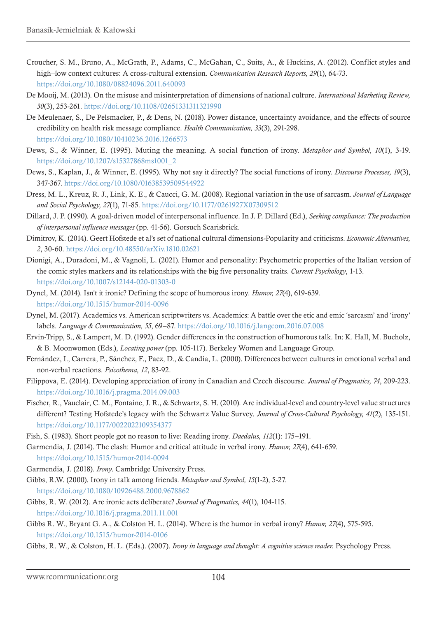- Croucher, S. M., Bruno, A., McGrath, P., Adams, C., McGahan, C., Suits, A., & Huckins, A. (2012). Conflict styles and high–low context cultures: A cross-cultural extension. *Communication Research Reports, 29*(1), 64-73. <https://doi.org/10.1080/08824096.2011.640093>
- De Mooij, M. (2013). On the misuse and misinterpretation of dimensions of national culture. *International Marketing Review, 30*(3), 253-261. <https://doi.org/10.1108/02651331311321990>
- De Meulenaer, S., De Pelsmacker, P., & Dens, N. (2018). Power distance, uncertainty avoidance, and the effects of source credibility on health risk message compliance. *Health Communication, 33*(3), 291-298. <https://doi.org/10.1080/10410236.2016.1266573>
- Dews, S., & Winner, E. (1995). Muting the meaning. A social function of irony. *Metaphor and Symbol, 10*(1), 3-19. [https://doi.org/10.1207/s15327868ms1001\\_2](https://doi.org/10.1207/s15327868ms1001_2)
- Dews, S., Kaplan, J., & Winner, E. (1995). Why not say it directly? The social functions of irony. *Discourse Processes, 19*(3), 347-367. <https://doi.org/10.1080/01638539509544922>
- Dress, M. L., Kreuz, R. J., Link, K. E., & Caucci, G. M. (2008). Regional variation in the use of sarcasm. *Journal of Language and Social Psychology, 27*(1), 71-85. <https://doi.org/10.1177/0261927X07309512>
- Dillard, J. P. (1990). A goal-driven model of interpersonal influence. In J. P. Dillard (Ed.), *Seeking compliance: The production of interpersonal influence messages* (pp. 41-56). Gorsuch Scarisbrick.
- Dimitrov, K. (2014). Geert Hofstede et al's set of national cultural dimensions-Popularity and criticisms. *Economic Alternatives, 2*, 30-60.<https://doi.org/10.48550/arXiv.1810.02621>
- Dionigi, A., Duradoni, M., & Vagnoli, L. (2021). Humor and personality: Psychometric properties of the Italian version of the comic styles markers and its relationships with the big five personality traits. *Current Psychology*, 1-13. <https://doi.org/10.1007/s12144-020-01303-0>
- Dynel, M. (2014). Isn't it ironic? Defining the scope of humorous irony. *Humor, 27*(4), 619-639. <https://doi.org/10.1515/humor-2014-0096>
- Dynel, M. (2017). Academics vs. American scriptwriters vs. Academics: A battle over the etic and emic 'sarcasm' and 'irony' labels. *Language & Communication, 55*, 69–87.<https://doi.org/10.1016/j.langcom.2016.07.008>
- Ervin-Tripp, S., & Lampert, M. D. (1992). Gender differences in the construction of humorous talk. In: K. Hall, M. Bucholz, & B. Moonwomon (Eds.), *Locating power* (pp. 105-117). Berkeley Women and Language Group.
- Fernández, I., Carrera, P., Sánchez, F., Paez, D., & Candia, L. (2000). Differences between cultures in emotional verbal and non-verbal reactions. *Psicothema, 12*, 83-92.
- Filippova, E. (2014). Developing appreciation of irony in Canadian and Czech discourse. *Journal of Pragmatics, 74*, 209-223. <https://doi.org/10.1016/j.pragma.2014.09.003>
- Fischer, R., Vauclair, C. M., Fontaine, J. R., & Schwartz, S. H. (2010). Are individual-level and country-level value structures different? Testing Hofstede's legacy with the Schwartz Value Survey. *Journal of Cross-Cultural Psychology, 41*(2), 135-151. <https://doi.org/10.1177/0022022109354377>
- Fish, S. (1983). Short people got no reason to live: Reading irony. *Daedalus, 112*(1): 175–191.
- Garmendia, J. (2014). The clash: Humor and critical attitude in verbal irony. *Humor, 27*(4), 641-659. <https://doi.org/10.1515/humor-2014-0094>
- Garmendia, J. (2018). *Irony*. Cambridge University Press.
- Gibbs, R.W. (2000). Irony in talk among friends. *Metaphor and Symbol, 15*(1-2), 5-27. <https://doi.org/10.1080/10926488.2000.9678862>
- Gibbs, R. W. (2012). Are ironic acts deliberate? *Journal of Pragmatics, 44*(1), 104-115. <https://doi.org/10.1016/j.pragma.2011.11.001>
- Gibbs R. W., Bryant G. A., & Colston H. L. (2014). Where is the humor in verbal irony? *Humor, 27*(4), 575-595. <https://doi.org/10.1515/humor-2014-0106>
- Gibbs, R. W., & Colston, H. L. (Eds.). (2007). *Irony in language and thought: A cognitive science reader.* Psychology Press.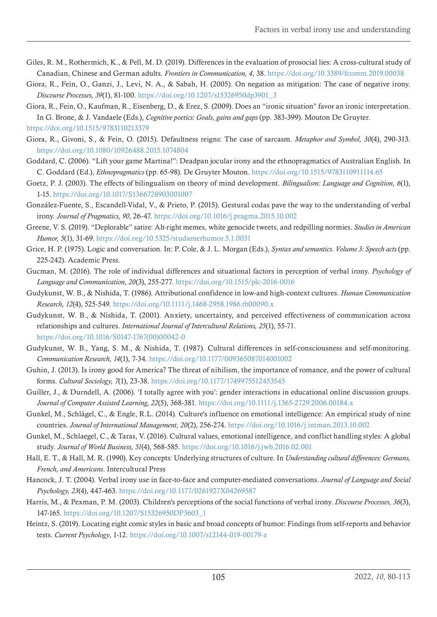- Giles, R. M., Rothermich, K., & Pell, M. D. (2019). Differences in the evaluation of prosocial lies: A cross-cultural study of Canadian, Chinese and German adults. *Frontiers in Communication, 4*, 38. <https://doi.org/10.3389/fcomm.2019.00038>
- Giora, R., Fein, O., Ganzi, J., Levi, N. A., & Sabah, H. (2005). On negation as mitigation: The case of negative irony. *Discourse Processes, 39*(1), 81-100. [https://doi.org/10.1207/s15326950dp3901\\_3](https://doi.org/10.1207/s15326950dp3901_3)
- Giora, R., Fein, O., Kaufman, R., Eisenberg, D., & Erez, S. (2009). Does an "ironic situation" favor an ironic interpretation. In G. Brone, & J. Vandaele (Eds.), *Cognitive poetics: Goals, gains and gaps* (pp. 383-399). Mouton De Gruyter. <https://doi.org/10.1515/9783110213379>
- Giora, R., Givoni, S., & Fein, O. (2015). Defaultness reigns: The case of sarcasm. *Metaphor and Symbol, 30*(4), 290-313. <https://doi.org/10.1080/10926488.2015.1074804>
- Goddard, C. (2006). "Lift your game Martina!": Deadpan jocular irony and the ethnopragmatics of Australian English. In C. Goddard (Ed.), *Ethnopragmatics* (pp. 65-98). De Gruyter Mouton. <https://doi.org/10.1515/9783110911114.65>
- Goetz, P. J. (2003). The effects of bilingualism on theory of mind development. *Bilingualism: Language and Cognition, 6*(1), 1-15.<https://doi.org/10.1017/S1366728903001007>
- González-Fuente, S., Escandell-Vidal, V., & Prieto, P. (2015). Gestural codas pave the way to the understanding of verbal irony. *Journal of Pragmatics, 90*, 26-47.<https://doi.org/10.1016/j.pragma.2015.10.002>
- Greene, V. S. (2019). "Deplorable" satire: Alt-right memes, white genocide tweets, and redpilling normies. *Studies in American Humor, 5*(1), 31-69.<https://doi.org/10.5325/studamerhumor.5.1.0031>
- Grice, H. P. (1975). Logic and conversation. In: P. Cole, & J. L. Morgan (Eds.), *Syntax and semantics. Volume 3: Speech acts* (pp. 225-242). Academic Press.
- Gucman, M. (2016). The role of individual differences and situational factors in perception of verbal irony. *Psychology of Language and Communication, 20*(3), 255-277.<https://doi.org/10.1515/plc-2016-0016>
- Gudykunst, W. B., & Nishida, T. (1986). Attributional confidence in low-and high-context cultures. *Human Communication Research, 12*(4), 525-549. <https://doi.org/10.1111/j.1468-2958.1986.tb00090.x>
- Gudykunst, W. B., & Nishida, T. (2001). Anxiety, uncertainty, and perceived effectiveness of communication across relationships and cultures. *International Journal of Intercultural Relations, 25*(1), 55-71. [https://doi.org/10.1016/S0147-1767\(00\)00042-0](https://doi.org/10.1016/S0147-1767(00)00042-0)
- Gudykunst, W. B., Yang, S. M., & Nishida, T. (1987). Cultural differences in self-consciousness and self-monitoring. *Communication Research, 14*(1), 7-34.<https://doi.org/10.1177/009365087014001002>
- Guhin, J. (2013). Is irony good for America? The threat of nihilism, the importance of romance, and the power of cultural forms. *Cultural Sociology, 7*(1), 23-38.<https://doi.org/10.1177/1749975512453545>
- Guiller, J., & Durndell, A. (2006). 'I totally agree with you': gender interactions in educational online discussion groups. *Journal of Computer Assisted Learning, 22*(5), 368-381. <https://doi.org/10.1111/j.1365-2729.2006.00184.x>
- Gunkel, M., Schlägel, C., & Engle, R.L. (2014). Culture's influence on emotional intelligence: An empirical study of nine countries. *Journal of International Management, 20*(2), 256-274. <https://doi.org/10.1016/j.intman.2013.10.002>
- Gunkel, M., Schlaegel, C., & Taras, V. (2016). Cultural values, emotional intelligence, and conflict handling styles: A global study. *Journal of World Business, 51*(4), 568-585.<https://doi.org/10.1016/j.jwb.2016.02.001>
- Hall, E. T., & Hall, M. R. (1990). Key concepts: Underlying structures of culture. In *Understanding cultural differences: Germans, French, and Americans*. Intercultural Press
- Hancock, J. T. (2004). Verbal irony use in face-to-face and computer-mediated conversations. *Journal of Language and Social Psychology, 23*(4), 447-463.<https://doi.org/10.1177/0261927X04269587>
- Harris, M., & Pexman, P. M. (2003). Children's perceptions of the social functions of verbal irony. *Discourse Processes, 36*(3), 147-165. [https://doi.org/10.1207/S15326950DP3603\\_1](https://doi.org/10.1207/S15326950DP3603_1)
- Heintz, S. (2019). Locating eight comic styles in basic and broad concepts of humor: Findings from self-reports and behavior tests. *Current Psychology*, 1-12.<https://doi.org/10.1007/s12144-019-00179-z>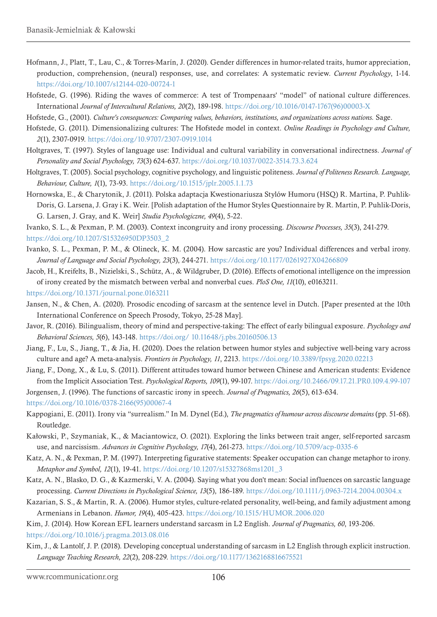- Hofmann, J., Platt, T., Lau, C., & Torres-Marín, J. (2020). Gender differences in humor-related traits, humor appreciation, production, comprehension, (neural) responses, use, and correlates: A systematic review. *Current Psychology*, 1-14. <https://doi.org/10.1007/s12144-020-00724-1>
- Hofstede, G. (1996). Riding the waves of commerce: A test of Trompenaars' "model" of national culture differences. International *Journal of Intercultural Relations, 20*(2), 189-198. [https://doi.org/10.1016/0147-1767\(96\)00003-X](https://doi.org/10.1016/0147-1767(96)00003-X)
- Hofstede, G., (2001). *Culture's consequences: Comparing values, behaviors, institutions, and organizations across nations.* Sage.
- Hofstede, G. (2011). Dimensionalizing cultures: The Hofstede model in context. *Online Readings in Psychology and Culture, 2*(1), 2307-0919. <https://doi.org/10.9707/2307-0919.1014>
- Holtgraves, T. (1997). Styles of language use: Individual and cultural variability in conversational indirectness. *Journal of Personality and Social Psychology, 73*(3) 624-637.<https://doi.org/10.1037/0022-3514.73.3.624>
- Holtgraves, T. (2005). Social psychology, cognitive psychology, and linguistic politeness. *Journal of Politeness Research. Language, Behaviour, Culture, 1*(1), 73-93.<https://doi.org/10.1515/jplr.2005.1.1.73>
- Hornowska, E., & Charytonik, J. (2011). Polska adaptacja Kwestionariusza Stylów Humoru (HSQ) R. Martina, P. Puhlik-Doris, G. Larsena, J. Gray i K. Weir. [Polish adaptation of the Humor Styles Questionnaire by R. Martin, P. Puhlik-Doris, G. Larsen, J. Gray, and K. Weir] *Studia Psychologiczne, 49*(4), 5-22.
- Ivanko, S. L., & Pexman, P. M. (2003). Context incongruity and irony processing. *Discourse Processes, 35*(3), 241-279. [https://doi.org/10.1207/S15326950DP3503\\_2](https://doi.org/10.1207/S15326950DP3503_2)
- Ivanko, S. L., Pexman, P. M., & Olineck, K. M. (2004). How sarcastic are you? Individual differences and verbal irony. *Journal of Language and Social Psychology, 23*(3), 244-271. <https://doi.org/10.1177/0261927X04266809>
- Jacob, H., Kreifelts, B., Nizielski, S., Schütz, A., & Wildgruber, D. (2016). Effects of emotional intelligence on the impression of irony created by the mismatch between verbal and nonverbal cues. *PloS One, 11*(10), e0163211.
- <https://doi.org/10.1371/journal.pone.0163211>
- Jansen, N., & Chen, A. (2020). Prosodic encoding of sarcasm at the sentence level in Dutch. [Paper presented at the 10th International Conference on Speech Prosody, Tokyo, 25-28 May].
- Javor, R. (2016). Bilingualism, theory of mind and perspective-taking: The effect of early bilingual exposure. *Psychology and Behavioral Sciences, 5*(6), 143-148. [https://doi.org/](https://doi.org/ 10.11648/j.pbs.20160506.13) 10.11648/j.pbs.20160506.13
- Jiang, F., Lu, S., Jiang, T., & Jia, H. (2020). Does the relation between humor styles and subjective well-being vary across culture and age? A meta-analysis. *Frontiers in Psychology, 11*, 2213.<https://doi.org/10.3389/fpsyg.2020.02213>
- Jiang, F., Dong, X., & Lu, S. (2011). Different attitudes toward humor between Chinese and American students: Evidence from the Implicit Association Test. *Psychological Reports, 109*(1), 99-107. <https://doi.org/10.2466/09.17.21.PR0.109.4.99-107>

Jorgensen, J. (1996). The functions of sarcastic irony in speech. *Journal of Pragmatics, 26*(5), 613-634.

[https://doi.org/10.1016/0378-2166\(95\)00067-4](https://doi.org/10.1016/0378-2166(95)00067-4)

Kappogiani, E. (2011). Irony via "surrealism." In M. Dynel (Ed.), *The pragmatics of humour across discourse domains* (pp. 51-68). Routledge.

- Kałowski, P., Szymaniak, K., & Maciantowicz, O. (2021). Exploring the links between trait anger, self-reported sarcasm use, and narcissism. *Advances in Cognitive Psychology, 17*(4), 261-273. <https://doi.org/10.5709/acp-0335-6>
- Katz, A. N., & Pexman, P. M. (1997). Interpreting figurative statements: Speaker occupation can change metaphor to irony. *Metaphor and Symbol, 12*(1), 19-41. [https://doi.org/10.1207/s15327868ms1201\\_3](https://doi.org/10.1207/s15327868ms1201_3)
- Katz, A. N., Blasko, D. G., & Kazmerski, V. A. (2004). Saying what you don't mean: Social influences on sarcastic language processing. *Current Directions in Psychological Science, 13*(5), 186-189. <https://doi.org/10.1111/j.0963-7214.2004.00304.x>
- Kazarian, S. S., & Martin, R. A. (2006). Humor styles, culture-related personality, well-being, and family adjustment among Armenians in Lebanon. *Humor, 19*(4), 405-423. <https://doi.org/10.1515/HUMOR.2006.020>

Kim, J. (2014). How Korean EFL learners understand sarcasm in L2 English. *Journal of Pragmatics, 60*, 193-206. <https://doi.org/10.1016/j.pragma.2013.08.016>

Kim, J., & Lantolf, J. P. (2018). Developing conceptual understanding of sarcasm in L2 English through explicit instruction. *Language Teaching Research, 22*(2), 208-229.<https://doi.org/10.1177/1362168816675521>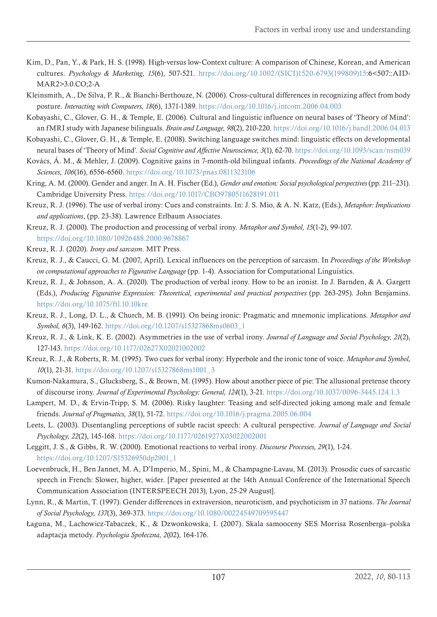- Kim, D., Pan, Y., & Park, H. S. (1998). High‐versus low‐Context culture: A comparison of Chinese, Korean, and American cultures. *Psychology & Marketing, 15*(6), 507-521. [https://doi.org/10.1002/\(SICI\)1520-6793\(199809\)15](https://doi.org/10.1002/(SICI)1520-6793(199809)15):6<507::AID-MAR2>3.0.CO;2-A
- Kleinsmith, A., De Silva, P. R., & Bianchi-Berthouze, N. (2006). Cross-cultural differences in recognizing affect from body posture. *Interacting with Computers, 18*(6), 1371-1389. <https://doi.org/10.1016/j.intcom.2006.04.003>
- Kobayashi, C., Glover, G. H., & Temple, E. (2006). Cultural and linguistic influence on neural bases of 'Theory of Mind': an fMRI study with Japanese bilinguals. *Brain and Language, 98*(2), 210-220. <https://doi.org/10.1016/j.bandl.2006.04.013>
- Kobayashi, C., Glover, G. H., & Temple, E. (2008). Switching language switches mind: linguistic effects on developmental neural bases of 'Theory of Mind'. *Social Cognitive and Affective Neuroscience, 3*(1), 62-70.<https://doi.org/10.1093/scan/nsm039>
- Kovács, Á. M., & Mehler, J. (2009). Cognitive gains in 7-month-old bilingual infants. *Proceedings of the National Academy of Sciences, 106*(16), 6556-6560.<https://doi.org/10.1073/pnas.0811323106>
- Kring, A. M. (2000). Gender and anger. In A. H. Fischer (Ed.), *Gender and emotion: Social psychological perspectives* (pp. 211–231). Cambridge University Press. <https://doi.org/10.1017/CBO9780511628191.011>
- Kreuz, R. J. (1996). The use of verbal irony: Cues and constraints. In: J. S. Mio, & A. N. Katz, (Eds.), *Metaphor: Implications and applications*, (pp. 23-38). Lawrence Erlbaum Associates.
- Kreuz, R. J. (2000). The production and processing of verbal irony. *Metaphor and Symbol, 15*(1-2), 99-107. <https://doi.org/10.1080/10926488.2000.9678867>
- Kreuz, R. J. (2020). *Irony and sarcasm*. MIT Press.
- Kreuz, R. J., & Caucci, G. M. (2007, April). Lexical influences on the perception of sarcasm. In *Proceedings of the Workshop on computational approaches to Figurative Language* (pp. 1-4). Association for Computational Linguistics.
- Kreuz, R. J., & Johnson, A. A. (2020). The production of verbal irony. How to be an ironist. In J. Barnden, & A. Gargett (Eds.), *Producing Figurative Expression: Theoretical, experimental and practical perspectives* (pp. 263-295). John Benjamins. <https://doi.org/10.1075/ftl.10.10kre>
- Kreuz, R. J., Long, D. L., & Church, M. B. (1991). On being ironic: Pragmatic and mnemonic implications. *Metaphor and Symbol, 6*(3), 149-162. [https://doi.org/10.1207/s15327868ms0603\\_1](https://doi.org/10.1207/s15327868ms0603_1)
- Kreuz, R. J., & Link, K. E. (2002). Asymmetries in the use of verbal irony. *Journal of Language and Social Psychology, 21*(2), 127-143. <https://doi.org/10.1177/02627X02021002002>
- Kreuz, R. J., & Roberts, R. M. (1995). Two cues for verbal irony: Hyperbole and the ironic tone of voice. *Metaphor and Symbol, 10*(1), 21-31. [https://doi.org/10.1207/s15327868ms1001\\_3](https://doi.org/10.1207/s15327868ms1001_3)
- Kumon-Nakamura, S., Glucksberg, S., & Brown, M. (1995). How about another piece of pie: The allusional pretense theory of discourse irony. *Journal of Experimental Psychology: General, 124*(1), 3-21.<https://doi.org/10.1037/0096-3445.124.1.3>
- Lampert, M. D., & Ervin-Tripp, S. M. (2006). Risky laughter: Teasing and self-directed joking among male and female friends. *Journal of Pragmatics, 38*(1), 51-72.<https://doi.org/10.1016/j.pragma.2005.06.004>
- Leets, L. (2003). Disentangling perceptions of subtle racist speech: A cultural perspective. *Journal of Language and Social Psychology, 22*(2), 145-168. <https://doi.org/10.1177/0261927X03022002001>
- Leggitt, J. S., & Gibbs, R. W. (2000). Emotional reactions to verbal irony. *Discourse Processes, 29*(1), 1-24. [https://doi.org/10.1207/S15326950dp2901\\_1](https://doi.org/10.1207/S15326950dp2901_1)
- Loevenbruck, H., Ben Jannet, M. A, D'Imperio, M., Spini, M., & Champagne-Lavau, M. (2013). Prosodic cues of sarcastic speech in French: Slower, higher, wider. [Paper presented at the 14th Annual Conference of the International Speech Communication Association (INTERSPEECH 2013), Lyon, 25-29 August].
- Lynn, R., & Martin, T. (1997). Gender differences in extraversion, neuroticism, and psychoticism in 37 nations. *The Journal of Social Psychology, 137*(3), 369-373. <https://doi.org/10.1080/00224549709595447>
- Łaguna, M., Lachowicz-Tabaczek, K., & Dzwonkowska, I. (2007). Skala samooceny SES Morrisa Rosenberga–polska adaptacja metody. *Psychologia Społeczna, 2*(02), 164-176.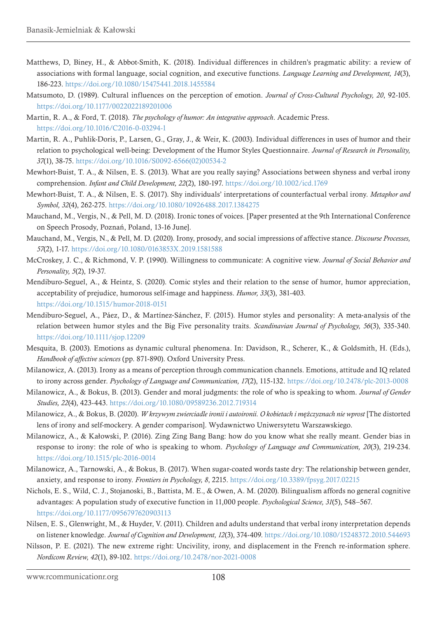- Matthews, D, Biney, H., & Abbot-Smith, K. (2018). Individual differences in children's pragmatic ability: a review of associations with formal language, social cognition, and executive functions. *Language Learning and Development, 14*(3), 186-223. <https://doi.org/10.1080/15475441.2018.1455584>
- Matsumoto, D. (1989). Cultural influences on the perception of emotion. *Journal of Cross-Cultural Psychology, 20*, 92-105. <https://doi.org/10.1177/0022022189201006>
- Martin, R. A., & Ford, T. (2018). *The psychology of humor: An integrative approach*. Academic Press. <https://doi.org/10.1016/C2016-0-03294-1>
- Martin, R. A., Puhlik-Doris, P., Larsen, G., Gray, J., & Weir, K. (2003). Individual differences in uses of humor and their relation to psychological well-being: Development of the Humor Styles Questionnaire. *Journal of Research in Personality, 37*(1), 38-75. [https://doi.org/10.1016/S0092-6566\(02\)00534-2](https://doi.org/10.1016/S0092-6566(02)00534-2)
- Mewhort-Buist, T. A., & Nilsen, E. S. (2013). What are you really saying? Associations between shyness and verbal irony comprehension. *Infant and Child Development, 22*(2), 180-197.<https://doi.org/10.1002/icd.1769>
- Mewhort-Buist, T. A., & Nilsen, E. S. (2017). Shy individuals' interpretations of counterfactual verbal irony. *Metaphor and Symbol, 32*(4), 262-275.<https://doi.org/10.1080/10926488.2017.1384275>
- Mauchand, M., Vergis, N., & Pell, M. D. (2018). Ironic tones of voices. [Paper presented at the 9th International Conference on Speech Prosody, Poznań, Poland, 13-16 June].
- Mauchand, M., Vergis, N., & Pell, M. D. (2020). Irony, prosody, and social impressions of affective stance. *Discourse Processes, 57*(2), 1-17.<https://doi.org/10.1080/0163853X.2019.1581588>
- McCroskey, J. C., & Richmond, V. P. (1990). Willingness to communicate: A cognitive view. *Journal of Social Behavior and Personality, 5*(2), 19-37.
- Mendiburo-Seguel, A., & Heintz, S. (2020). Comic styles and their relation to the sense of humor, humor appreciation, acceptability of prejudice, humorous self-image and happiness. *Humor, 33*(3), 381-403. <https://doi.org/10.1515/humor-2018-0151>
- Mendiburo‐Seguel, A., Páez, D., & Martínez‐Sánchez, F. (2015). Humor styles and personality: A meta‐analysis of the relation between humor styles and the Big Five personality traits. *Scandinavian Journal of Psychology, 56*(3), 335-340. <https://doi.org/10.1111/sjop.12209>
- Mesquita, B. (2003). Emotions as dynamic cultural phenomena. In: Davidson, R., Scherer, K., & Goldsmith, H. (Eds.), *Handbook of affective sciences* (pp. 871-890). Oxford University Press.
- Milanowicz, A. (2013). Irony as a means of perception through communication channels. Emotions, attitude and IQ related to irony across gender. *Psychology of Language and Communication, 17*(2), 115-132.<https://doi.org/10.2478/plc-2013-0008>
- Milanowicz, A., & Bokus, B. (2013). Gender and moral judgments: the role of who is speaking to whom. *Journal of Gender Studies, 22*(4), 423-443. <https://doi.org/10.1080/09589236.2012.719314>
- Milanowicz, A., & Bokus, B. (2020). *W krzywym zwierciadle ironii i autoironii. O kobietach i mężczyznach nie wprost* [The distorted lens of irony and self-mockery. A gender comparison]. Wydawnictwo Uniwersytetu Warszawskiego.
- Milanowicz, A., & Kałowski, P. (2016). Zing Zing Bang Bang: how do you know what she really meant. Gender bias in response to irony: the role of who is speaking to whom. *Psychology of Language and Communication, 20*(3), 219-234. <https://doi.org/10.1515/plc-2016-0014>
- Milanowicz, A., Tarnowski, A., & Bokus, B. (2017). When sugar-coated words taste dry: The relationship between gender, anxiety, and response to irony. *Frontiers in Psychology, 8*, 2215. <https://doi.org/10.3389/fpsyg.2017.02215>
- Nichols, E. S., Wild, C. J., Stojanoski, B., Battista, M. E., & Owen, A. M. (2020). Bilingualism affords no general cognitive advantages: A population study of executive function in 11,000 people. *Psychological Science, 31*(5), 548–567. <https://doi.org/10.1177/0956797620903113>
- Nilsen, E. S., Glenwright, M., & Huyder, V. (2011). Children and adults understand that verbal irony interpretation depends on listener knowledge. *Journal of Cognition and Development, 12*(3), 374-409. <https://doi.org/10.1080/15248372.2010.544693>
- Nilsson, P. E. (2021). The new extreme right: Uncivility, irony, and displacement in the French re-information sphere. *Nordicom Review, 42*(1), 89-102. <https://doi.org/10.2478/nor-2021-0008>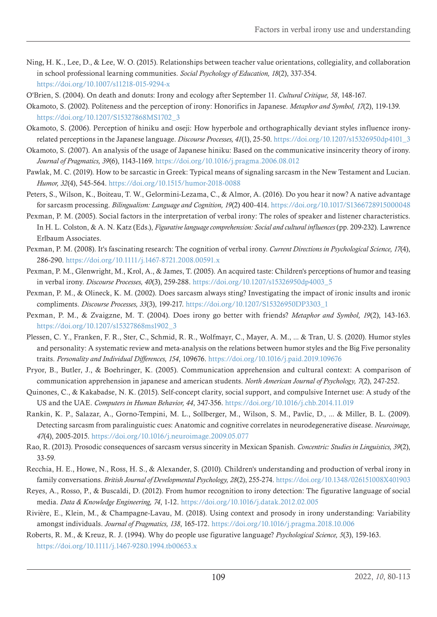- Ning, H. K., Lee, D., & Lee, W. O. (2015). Relationships between teacher value orientations, collegiality, and collaboration in school professional learning communities. *Social Psychology of Education, 18*(2), 337-354. <https://doi.org/10.1007/s11218-015-9294-x>
- O'Brien, S. (2004). On death and donuts: Irony and ecology after September 11. *Cultural Critique, 58*, 148-167.
- Okamoto, S. (2002). Politeness and the perception of irony: Honorifics in Japanese. *Metaphor and Symbol, 17*(2), 119-139. [https://doi.org/10.1207/S15327868MS1702\\_3](https://doi.org/10.1207/S15327868MS1702_3)
- Okamoto, S. (2006). Perception of hiniku and oseji: How hyperbole and orthographically deviant styles influence ironyrelated perceptions in the Japanese language. *Discourse Processes, 41*(1), 25-50. [https://doi.org/10.1207/s15326950dp4101\\_3](https://doi.org/10.1207/s15326950dp4101_3)
- Okamoto, S. (2007). An analysis of the usage of Japanese hiniku: Based on the communicative insincerity theory of irony. *Journal of Pragmatics, 39*(6), 1143-1169. <https://doi.org/10.1016/j.pragma.2006.08.012>
- Pawlak, M. C. (2019). How to be sarcastic in Greek: Typical means of signaling sarcasm in the New Testament and Lucian. *Humor, 32*(4), 545-564.<https://doi.org/10.1515/humor-2018-0088>
- Peters, S., Wilson, K., Boiteau, T. W., Gelormini-Lezama, C., & Almor, A. (2016). Do you hear it now? A native advantage for sarcasm processing. *Bilingualism: Language and Cognition, 19*(2) 400-414.<https://doi.org/10.1017/S1366728915000048>
- Pexman, P. M. (2005). Social factors in the interpretation of verbal irony: The roles of speaker and listener characteristics. In H. L. Colston, & A. N. Katz (Eds.), *Figurative language comprehension: Social and cultural influences* (pp. 209-232). Lawrence Erlbaum Associates.
- Pexman, P. M. (2008). It's fascinating research: The cognition of verbal irony. *Current Directions in Psychological Science, 17*(4), 286-290. <https://doi.org/10.1111/j.1467-8721.2008.00591.x>
- Pexman, P. M., Glenwright, M., Krol, A., & James, T. (2005). An acquired taste: Children's perceptions of humor and teasing in verbal irony. *Discourse Processes, 40*(3), 259-288. [https://doi.org/10.1207/s15326950dp4003\\_5](https://doi.org/10.1207/s15326950dp4003_5)
- Pexman, P. M., & Olineck, K. M. (2002). Does sarcasm always sting? Investigating the impact of ironic insults and ironic compliments. *Discourse Processes, 33*(3), 199-217. [https://doi.org/10.1207/S15326950DP3303\\_1](https://doi.org/10.1207/S15326950DP3303_1)
- Pexman, P. M., & Zvaigzne, M. T. (2004). Does irony go better with friends? *Metaphor and Symbol, 19*(2), 143-163. [https://doi.org/10.1207/s15327868ms1902\\_3](https://doi.org/10.1207/s15327868ms1902_3)
- Plessen, C. Y., Franken, F. R., Ster, C., Schmid, R. R., Wolfmayr, C., Mayer, A. M., ... & Tran, U. S. (2020). Humor styles and personality: A systematic review and meta-analysis on the relations between humor styles and the Big Five personality traits. *Personality and Individual Differences, 154*, 109676. <https://doi.org/10.1016/j.paid.2019.109676>
- Pryor, B., Butler, J., & Boehringer, K. (2005). Communication apprehension and cultural context: A comparison of communication apprehension in japanese and american students. *North American Journal of Psychology, 7*(2), 247-252.
- Quinones, C., & Kakabadse, N. K. (2015). Self-concept clarity, social support, and compulsive Internet use: A study of the US and the UAE. *Computers in Human Behavior, 44*, 347-356. <https://doi.org/10.1016/j.chb.2014.11.019>
- Rankin, K. P., Salazar, A., Gorno-Tempini, M. L., Sollberger, M., Wilson, S. M., Pavlic, D., ... & Miller, B. L. (2009). Detecting sarcasm from paralinguistic cues: Anatomic and cognitive correlates in neurodegenerative disease. *Neuroimage, 47*(4), 2005-2015. <https://doi.org/10.1016/j.neuroimage.2009.05.077>
- Rao, R. (2013). Prosodic consequences of sarcasm versus sincerity in Mexican Spanish. *Concentric: Studies in Linguistics, 39*(2), 33-59.
- Recchia, H. E., Howe, N., Ross, H. S., & Alexander, S. (2010). Children's understanding and production of verbal irony in family conversations. *British Journal of Developmental Psychology, 28*(2), 255-274.<https://doi.org/10.1348/026151008X401903>
- Reyes, A., Rosso, P., & Buscaldi, D. (2012). From humor recognition to irony detection: The figurative language of social media. *Data & Knowledge Engineering, 74*, 1-12. <https://doi.org/10.1016/j.datak.2012.02.005>
- Rivière, E., Klein, M., & Champagne-Lavau, M. (2018). Using context and prosody in irony understanding: Variability amongst individuals. *Journal of Pragmatics, 138*, 165-172.<https://doi.org/10.1016/j.pragma.2018.10.006>
- Roberts, R. M., & Kreuz, R. J. (1994). Why do people use figurative language? *Psychological Science, 5*(3), 159-163. <https://doi.org/10.1111/j.1467-9280.1994.tb00653.x>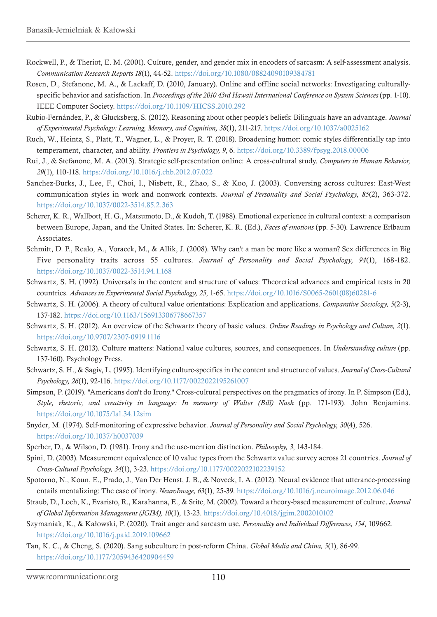- Rockwell, P., & Theriot, E. M. (2001). Culture, gender, and gender mix in encoders of sarcasm: A self‐assessment analysis. *Communication Research Reports 18*(1), 44-52.<https://doi.org/10.1080/08824090109384781>
- Rosen, D., Stefanone, M. A., & Lackaff, D. (2010, January). Online and offline social networks: Investigating culturallyspecific behavior and satisfaction. In *Proceedings of the 2010 43rd Hawaii International Conference on System Sciences* (pp. 1-10). IEEE Computer Society.<https://doi.org/10.1109/HICSS.2010.292>
- Rubio-Fernández, P., & Glucksberg, S. (2012). Reasoning about other people's beliefs: Bilinguals have an advantage. *Journal of Experimental Psychology: Learning, Memory, and Cognition, 38*(1), 211-217. <https://doi.org/10.1037/a0025162>
- Ruch, W., Heintz, S., Platt, T., Wagner, L., & Proyer, R. T. (2018). Broadening humor: comic styles differentially tap into temperament, character, and ability. *Frontiers in Psychology, 9*, 6. <https://doi.org/10.3389/fpsyg.2018.00006>
- Rui, J., & Stefanone, M. A. (2013). Strategic self-presentation online: A cross-cultural study. *Computers in Human Behavior, 29*(1), 110-118. <https://doi.org/10.1016/j.chb.2012.07.022>
- Sanchez-Burks, J., Lee, F., Choi, I., Nisbett, R., Zhao, S., & Koo, J. (2003). Conversing across cultures: East-West communication styles in work and nonwork contexts. *Journal of Personality and Social Psychology, 85*(2), 363-372. <https://doi.org/10.1037/0022-3514.85.2.363>
- Scherer, K. R., Wallbott, H. G., Matsumoto, D., & Kudoh, T. (1988). Emotional experience in cultural context: a comparison between Europe, Japan, and the United States. In: Scherer, K. R. (Ed.), *Faces of emotions* (pp. 5-30). Lawrence Erlbaum Associates.
- Schmitt, D. P., Realo, A., Voracek, M., & Allik, J. (2008). Why can't a man be more like a woman? Sex differences in Big Five personality traits across 55 cultures. *Journal of Personality and Social Psychology, 94*(1), 168-182. <https://doi.org/10.1037/0022-3514.94.1.168>
- Schwartz, S. H. (1992). Universals in the content and structure of values: Theoretical advances and empirical tests in 20 countries. *Advances in Experimental Social Psychology, 25*, 1-65. [https://doi.org/10.1016/S0065-2601\(08\)60281-6](https://doi.org/10.1016/S0065-2601(08)60281-6)
- Schwartz, S. H. (2006). A theory of cultural value orientations: Explication and applications. *Comparative Sociology, 5*(2-3), 137-182. <https://doi.org/10.1163/156913306778667357>
- Schwartz, S. H. (2012). An overview of the Schwartz theory of basic values. *Online Readings in Psychology and Culture, 2*(1). <https://doi.org/10.9707/2307-0919.1116>
- Schwartz, S. H. (2013). Culture matters: National value cultures, sources, and consequences. In *Understanding culture* (pp. 137-160). Psychology Press.
- Schwartz, S. H., & Sagiv, L. (1995). Identifying culture-specifics in the content and structure of values. *Journal of Cross-Cultural Psychology, 26*(1), 92-116. <https://doi.org/10.1177/0022022195261007>
- Simpson, P. (2019). "Americans don't do Irony." Cross-cultural perspectives on the pragmatics of irony. In P. Simpson (Ed.), *Style, rhetoric, and creativity in language: In memory of Walter (Bill) Nash* (pp. 171-193). John Benjamins. <https://doi.org/10.1075/lal.34.12sim>
- Snyder, M. (1974). Self-monitoring of expressive behavior. *Journal of Personality and Social Psychology, 30*(4), 526. <https://doi.org/10.1037/h0037039>
- Sperber, D., & Wilson, D. (1981). Irony and the use-mention distinction. *Philosophy, 3*, 143-184.
- Spini, D. (2003). Measurement equivalence of 10 value types from the Schwartz value survey across 21 countries. *Journal of Cross-Cultural Psychology, 34*(1), 3-23.<https://doi.org/10.1177/0022022102239152>
- Spotorno, N., Koun, E., Prado, J., Van Der Henst, J. B., & Noveck, I. A. (2012). Neural evidence that utterance-processing entails mentalizing: The case of irony. *NeuroImage, 63*(1), 25-39. <https://doi.org/10.1016/j.neuroimage.2012.06.046>
- Straub, D., Loch, K., Evaristo, R., Karahanna, E., & Srite, M. (2002). Toward a theory-based measurement of culture. *Journal of Global Information Management (JGIM), 10*(1), 13-23. <https://doi.org/10.4018/jgim.2002010102>
- Szymaniak, K., & Kałowski, P. (2020). Trait anger and sarcasm use. *Personality and Individual Differences, 154*, 109662. <https://doi.org/10.1016/j.paid.2019.109662>
- Tan, K. C., & Cheng, S. (2020). Sang subculture in post-reform China. *Global Media and China, 5*(1), 86-99. <https://doi.org/10.1177/2059436420904459>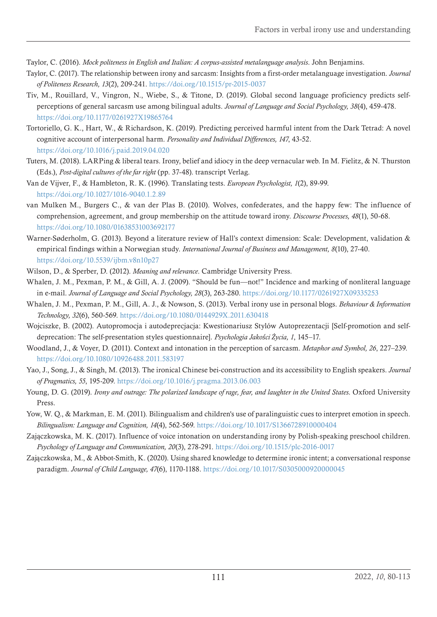Taylor, C. (2016). *Mock politeness in English and Italian: A corpus-assisted metalanguage analysis*. John Benjamins.

- Taylor, C. (2017). The relationship between irony and sarcasm: Insights from a first-order metalanguage investigation. *Journal of Politeness Research, 13*(2), 209-241.<https://doi.org/10.1515/pr-2015-0037>
- Tiv, M., Rouillard, V., Vingron, N., Wiebe, S., & Titone, D. (2019). Global second language proficiency predicts selfperceptions of general sarcasm use among bilingual adults. *Journal of Language and Social Psychology, 38*(4), 459-478. <https://doi.org/10.1177/0261927X19865764>
- Tortoriello, G. K., Hart, W., & Richardson, K. (2019). Predicting perceived harmful intent from the Dark Tetrad: A novel cognitive account of interpersonal harm. *Personality and Individual Differences, 147*, 43-52. <https://doi.org/10.1016/j.paid.2019.04.020>
- Tuters, M. (2018). LARPing & liberal tears. Irony, belief and idiocy in the deep vernacular web. In M. Fielitz, & N. Thurston (Eds.), *Post-digital cultures of the far right* (pp. 37-48). transcript Verlag.
- Van de Vijver, F., & Hambleton, R. K. (1996). Translating tests. *European Psychologist, 1*(2), 89-99. <https://doi.org/10.1027/1016-9040.1.2.89>
- van Mulken M., Burgers C., & van der Plas B. (2010). Wolves, confederates, and the happy few: The influence of comprehension, agreement, and group membership on the attitude toward irony. *Discourse Processes, 48*(1), 50-68. <https://doi.org/10.1080/01638531003692177>
- Warner-Søderholm, G. (2013). Beyond a literature review of Hall's context dimension: Scale: Development, validation & empirical findings within a Norwegian study. *International Journal of Business and Management, 8*(10), 27-40. <https://doi.org/10.5539/ijbm.v8n10p27>
- Wilson, D., & Sperber, D. (2012). *Meaning and relevance*. Cambridge University Press.
- Whalen, J. M., Pexman, P. M., & Gill, A. J. (2009). "Should be fun—not!" Incidence and marking of nonliteral language in e-mail. *Journal of Language and Social Psychology, 28*(3), 263-280. <https://doi.org/10.1177/0261927X09335253>
- Whalen, J. M., Pexman, P. M., Gill, A. J., & Nowson, S. (2013). Verbal irony use in personal blogs. *Behaviour & Information Technology, 32*(6), 560-569. <https://doi.org/10.1080/0144929X.2011.630418>
- Wojciszke, B. (2002). Autopromocja i autodeprecjacja: Kwestionariusz Stylów Autoprezentacji [Self-promotion and selfdeprecation: The self-presentation styles questionnaire]. *Psychologia Jakości Życia, 1*, 145–17.
- Woodland, J., & Voyer, D. (2011). Context and intonation in the perception of sarcasm. *Metaphor and Symbol, 26*, 227–239. <https://doi.org/10.1080/10926488.2011.583197>
- Yao, J., Song, J., & Singh, M. (2013). The ironical Chinese bei-construction and its accessibility to English speakers. *Journal of Pragmatics, 55*, 195-209. <https://doi.org/10.1016/j.pragma.2013.06.003>
- Young, D. G. (2019). *Irony and outrage: The polarized landscape of rage, fear, and laughter in the United States*. Oxford University Press.
- Yow, W. Q., & Markman, E. M. (2011). Bilingualism and children's use of paralinguistic cues to interpret emotion in speech. *Bilingualism: Language and Cognition, 14*(4), 562-569.<https://doi.org/10.1017/S1366728910000404>
- Zajączkowska, M. K. (2017). Influence of voice intonation on understanding irony by Polish-speaking preschool children. *Psychology of Language and Communication, 20*(3), 278-291. <https://doi.org/10.1515/plc-2016-0017>
- Zajączkowska, M., & Abbot-Smith, K. (2020). Using shared knowledge to determine ironic intent; a conversational response paradigm. *Journal of Child Language, 47*(6), 1170-1188.<https://doi.org/10.1017/S0305000920000045>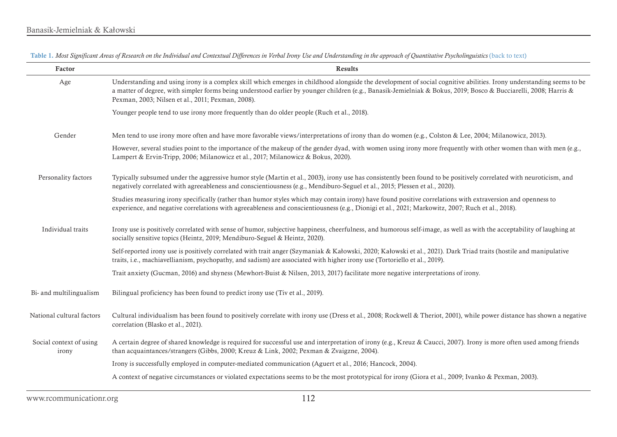<span id="page-32-0"></span>

Table 1. Most Significant Areas of Research on the Individual and Contextual Differences in Verbal Irony Use and Understanding in the approach of Quantitative Psycholinguistics [\(back to text\)](#page-17-1)

| Factor                           | Results                                                                                                                                                                                                                                                                                                                                                                                       |
|----------------------------------|-----------------------------------------------------------------------------------------------------------------------------------------------------------------------------------------------------------------------------------------------------------------------------------------------------------------------------------------------------------------------------------------------|
| Age                              | Understanding and using irony is a complex skill which emerges in childhood alongside the development of social cognitive abilities. Irony understanding seems to be<br>a matter of degree, with simpler forms being understood earlier by younger children (e.g., Banasik-Jemielniak & Bokus, 2019; Bosco & Bucciarelli, 2008; Harris &<br>Pexman, 2003; Nilsen et al., 2011; Pexman, 2008). |
|                                  | Younger people tend to use irony more frequently than do older people (Ruch et al., 2018).                                                                                                                                                                                                                                                                                                    |
| Gender                           | Men tend to use irony more often and have more favorable views/interpretations of irony than do women (e.g., Colston & Lee, 2004; Milanowicz, 2013).                                                                                                                                                                                                                                          |
|                                  | However, several studies point to the importance of the makeup of the gender dyad, with women using irony more frequently with other women than with men (e.g.,<br>Lampert & Ervin-Tripp, 2006; Milanowicz et al., 2017; Milanowicz & Bokus, 2020).                                                                                                                                           |
| Personality factors              | Typically subsumed under the aggressive humor style (Martin et al., 2003), irony use has consistently been found to be positively correlated with neuroticism, and<br>negatively correlated with agreeableness and conscientiousness (e.g., Mendiburo-Seguel et al., 2015; Plessen et al., 2020).                                                                                             |
|                                  | Studies measuring irony specifically (rather than humor styles which may contain irony) have found positive correlations with extraversion and openness to<br>experience, and negative correlations with agreeableness and conscientiousness (e.g., Dionigi et al., 2021; Markowitz, 2007; Ruch et al., 2018).                                                                                |
| Individual traits                | Irony use is positively correlated with sense of humor, subjective happiness, cheerfulness, and humorous self-image, as well as with the acceptability of laughing at<br>socially sensitive topics (Heintz, 2019; Mendiburo-Seguel & Heintz, 2020).                                                                                                                                           |
|                                  | Self-reported irony use is positively correlated with trait anger (Szymaniak & Kałowski, 2020; Kałowski et al., 2021). Dark Triad traits (hostile and manipulative<br>traits, i.e., machiavellianism, psychopathy, and sadism) are associated with higher irony use (Tortoriello et al., 2019).                                                                                               |
|                                  | Trait anxiety (Gucman, 2016) and shyness (Mewhort-Buist & Nilsen, 2013, 2017) facilitate more negative interpretations of irony.                                                                                                                                                                                                                                                              |
| Bi- and multilingualism          | Bilingual proficiency has been found to predict irony use (Tiv et al., 2019).                                                                                                                                                                                                                                                                                                                 |
| National cultural factors        | Cultural individualism has been found to positively correlate with irony use (Dress et al., 2008; Rockwell & Theriot, 2001), while power distance has shown a negative<br>correlation (Blasko et al., 2021).                                                                                                                                                                                  |
| Social context of using<br>irony | A certain degree of shared knowledge is required for successful use and interpretation of irony (e.g., Kreuz & Caucci, 2007). Irony is more often used among friends<br>than acquaintances/strangers (Gibbs, 2000; Kreuz & Link, 2002; Pexman & Zvaigzne, 2004).                                                                                                                              |
|                                  | Irony is successfully employed in computer-mediated communication (Aguert et al., 2016; Hancock, 2004).                                                                                                                                                                                                                                                                                       |
|                                  | A context of negative circumstances or violated expectations seems to be the most prototypical for irony (Giora et al., 2009; Ivanko & Pexman, 2003).                                                                                                                                                                                                                                         |